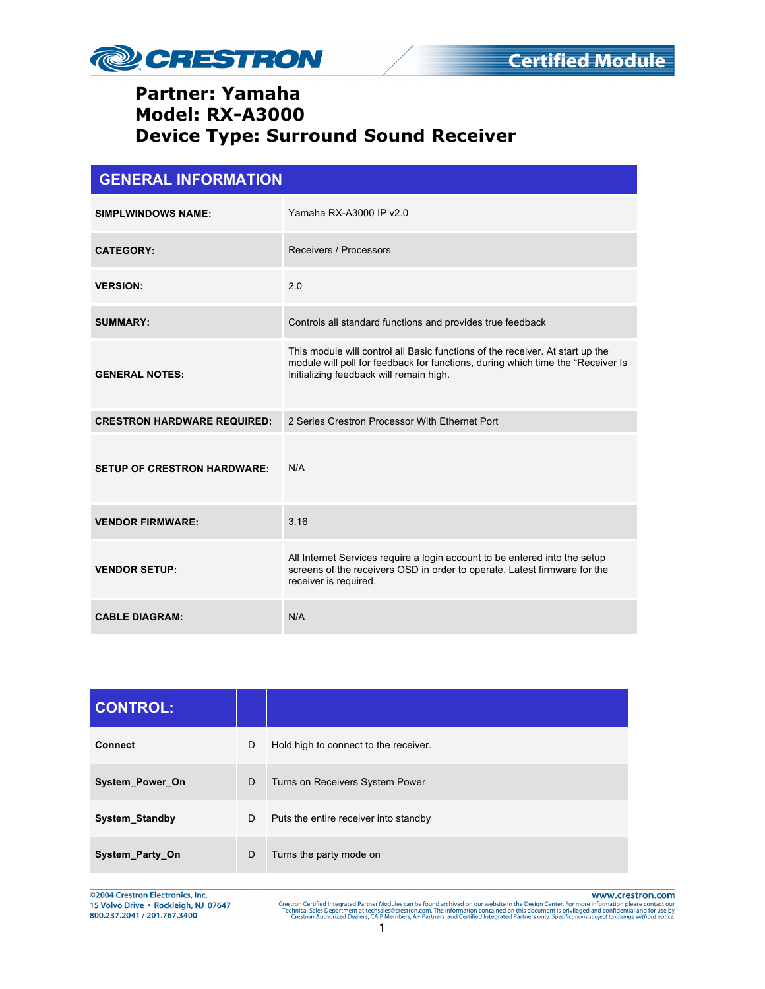

| <b>GENERAL INFORMATION</b>         |                                                                                                                                                                                                              |  |
|------------------------------------|--------------------------------------------------------------------------------------------------------------------------------------------------------------------------------------------------------------|--|
| <b>SIMPLWINDOWS NAME:</b>          | Yamaha RX-A3000 IP v2.0                                                                                                                                                                                      |  |
| <b>CATEGORY:</b>                   | Receivers / Processors                                                                                                                                                                                       |  |
| <b>VERSION:</b>                    | 2.0                                                                                                                                                                                                          |  |
| <b>SUMMARY:</b>                    | Controls all standard functions and provides true feedback                                                                                                                                                   |  |
| <b>GENERAL NOTES:</b>              | This module will control all Basic functions of the receiver. At start up the<br>module will poll for feedback for functions, during which time the "Receiver Is"<br>Initializing feedback will remain high. |  |
| <b>CRESTRON HARDWARE REQUIRED:</b> | 2 Series Crestron Processor With Ethernet Port                                                                                                                                                               |  |
| <b>SETUP OF CRESTRON HARDWARE:</b> | N/A                                                                                                                                                                                                          |  |
| <b>VENDOR FIRMWARE:</b>            | 3.16                                                                                                                                                                                                         |  |
| <b>VENDOR SETUP:</b>               | All Internet Services require a login account to be entered into the setup<br>screens of the receivers OSD in order to operate. Latest firmware for the<br>receiver is required.                             |  |
| <b>CABLE DIAGRAM:</b>              | N/A                                                                                                                                                                                                          |  |

| <b>CONTROL:</b>       |   |                                       |
|-----------------------|---|---------------------------------------|
| <b>Connect</b>        | D | Hold high to connect to the receiver. |
| System_Power_On       | D | Turns on Receivers System Power       |
| <b>System Standby</b> | D | Puts the entire receiver into standby |
| System_Party_On       | D | Turns the party mode on               |

©2004 Crestron Electronics, Inc. 15 Volvo Drive · Rockleigh, NJ 07647 800.237.2041 / 201.767.3400

www.crestron.com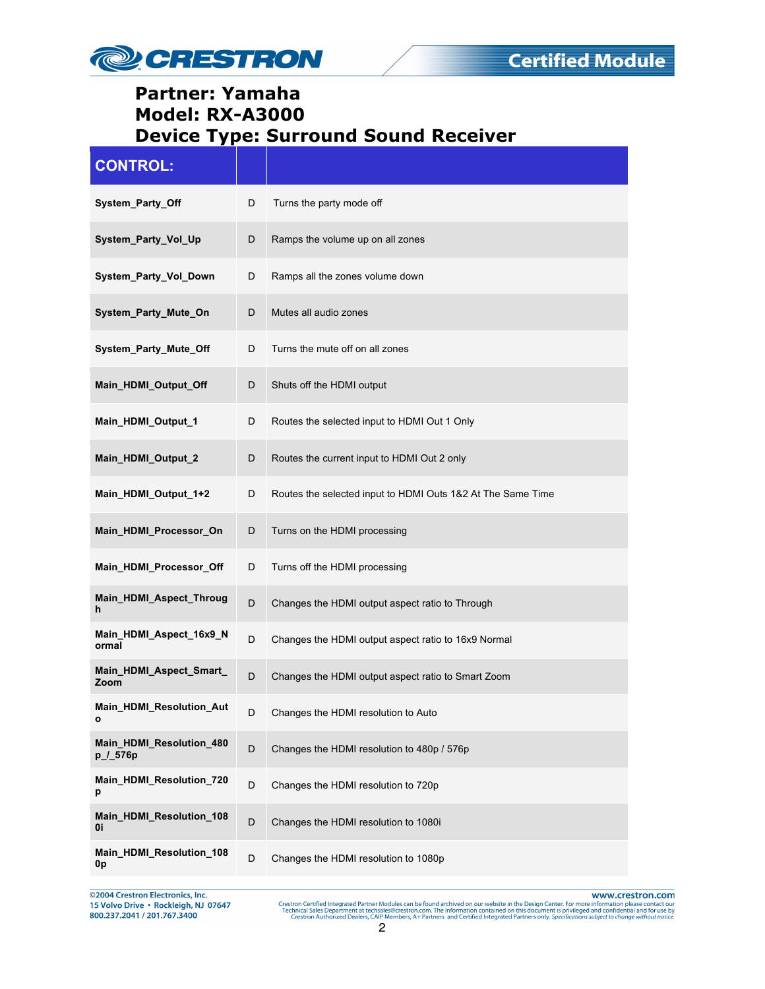

| <b>CONTROL:</b>                      |   |                                                             |
|--------------------------------------|---|-------------------------------------------------------------|
| System_Party_Off                     | D | Turns the party mode off                                    |
| System_Party_Vol_Up                  | D | Ramps the volume up on all zones                            |
| System_Party_Vol_Down                | D | Ramps all the zones volume down                             |
| System_Party_Mute_On                 | D | Mutes all audio zones                                       |
| System_Party_Mute_Off                | D | Turns the mute off on all zones                             |
| Main_HDMI_Output_Off                 | D | Shuts off the HDMI output                                   |
| Main_HDMI_Output_1                   | D | Routes the selected input to HDMI Out 1 Only                |
| Main_HDMI_Output_2                   | D | Routes the current input to HDMI Out 2 only                 |
| Main_HDMI_Output_1+2                 | D | Routes the selected input to HDMI Outs 1&2 At The Same Time |
| Main_HDMI_Processor_On               | D | Turns on the HDMI processing                                |
| Main_HDMI_Processor_Off              | D | Turns off the HDMI processing                               |
| Main_HDMI_Aspect_Throug<br>h         | D | Changes the HDMI output aspect ratio to Through             |
| Main_HDMI_Aspect_16x9_N<br>ormal     | D | Changes the HDMI output aspect ratio to 16x9 Normal         |
| Main_HDMI_Aspect_Smart_<br>Zoom      | D | Changes the HDMI output aspect ratio to Smart Zoom          |
| Main_HDMI_Resolution_Aut<br>ο        |   | Changes the HDMI resolution to Auto                         |
| Main_HDMI_Resolution_480<br>p_/_576p | D | Changes the HDMI resolution to 480p / 576p                  |
| Main HDMI Resolution 720<br>р        | D | Changes the HDMI resolution to 720p                         |
| Main HDMI Resolution 108<br>0i       | D | Changes the HDMI resolution to 1080i                        |
| Main_HDMI_Resolution_108<br>0p       | D | Changes the HDMI resolution to 1080p                        |

@2004 Crestron Electronics, Inc.<br>15 Volvo Drive • Rockleigh, NJ 07647<br>800.237.2041 / 201.767.3400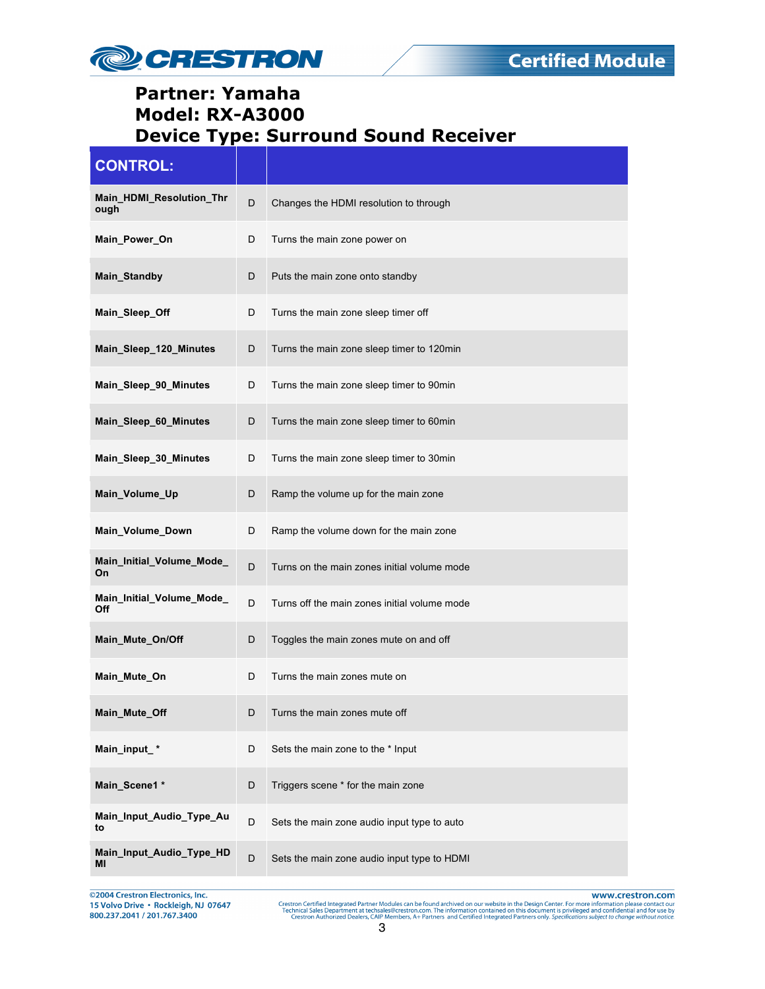

| <b>CONTROL:</b>                  |   |                                              |
|----------------------------------|---|----------------------------------------------|
| Main_HDMI_Resolution_Thr<br>ough | D | Changes the HDMI resolution to through       |
| Main_Power_On                    | D | Turns the main zone power on                 |
| Main_Standby                     | D | Puts the main zone onto standby              |
| Main Sleep Off                   | D | Turns the main zone sleep timer off          |
| Main_Sleep_120_Minutes           | D | Turns the main zone sleep timer to 120min    |
| Main_Sleep_90_Minutes            | D | Turns the main zone sleep timer to 90min     |
| Main_Sleep_60_Minutes            | D | Turns the main zone sleep timer to 60min     |
| Main_Sleep_30_Minutes            | D | Turns the main zone sleep timer to 30min     |
| Main_Volume_Up                   | D | Ramp the volume up for the main zone         |
| Main_Volume_Down                 | D | Ramp the volume down for the main zone       |
| Main_Initial_Volume_Mode_<br>On  | D | Turns on the main zones initial volume mode  |
| Main_Initial_Volume_Mode_<br>Off | D | Turns off the main zones initial volume mode |
| Main_Mute_On/Off                 | D | Toggles the main zones mute on and off       |
| Main_Mute_On                     | D | Turns the main zones mute on                 |
| Main_Mute_Off                    |   | Turns the main zones mute off                |
| Main_input_*                     | D | Sets the main zone to the * Input            |
| Main_Scene1 *                    | D | Triggers scene * for the main zone           |
| Main_Input_Audio_Type_Au<br>to   | D | Sets the main zone audio input type to auto  |
| Main_Input_Audio_Type_HD<br>ΜI   | D | Sets the main zone audio input type to HDMI  |

@2004 Crestron Electronics, Inc. 15 Volvo Drive · Rockleigh, NJ 07647 800.237.2041 / 201.767.3400

www.crestron.com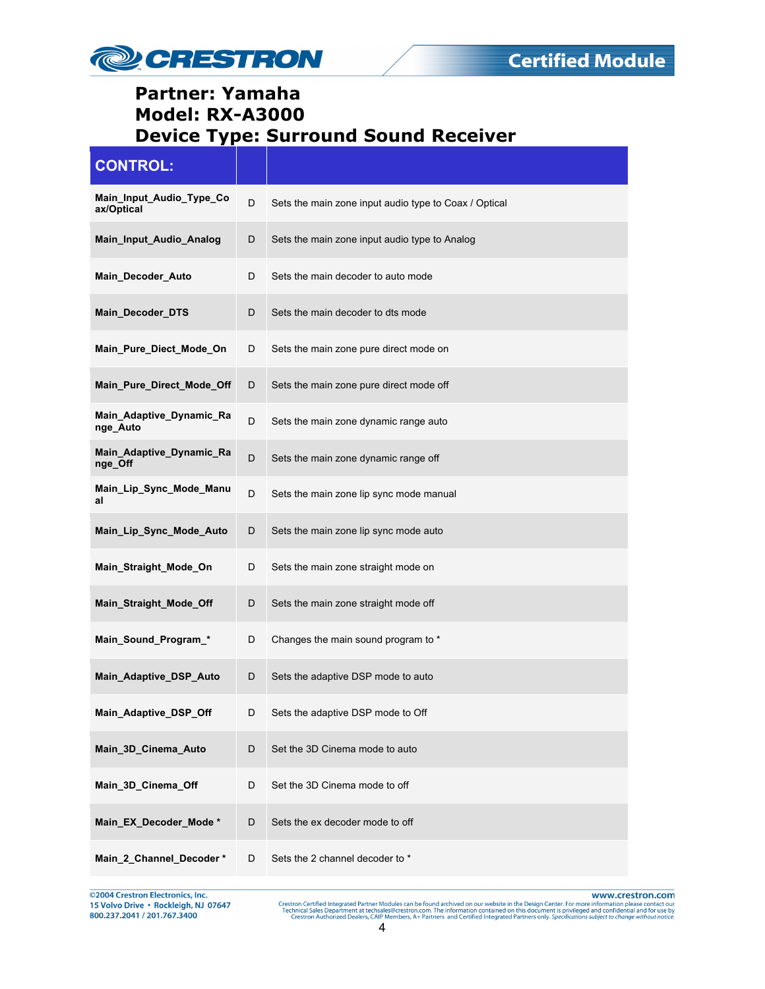

| <b>CONTROL:</b>                        |   |                                                       |
|----------------------------------------|---|-------------------------------------------------------|
| Main_Input_Audio_Type_Co<br>ax/Optical | D | Sets the main zone input audio type to Coax / Optical |
| Main Input Audio Analog                | D | Sets the main zone input audio type to Analog         |
| Main_Decoder_Auto                      | D | Sets the main decoder to auto mode                    |
| Main_Decoder_DTS                       | D | Sets the main decoder to dts mode                     |
| Main_Pure_Diect_Mode_On                | D | Sets the main zone pure direct mode on                |
| Main_Pure_Direct_Mode_Off              | D | Sets the main zone pure direct mode off               |
| Main_Adaptive_Dynamic_Ra<br>nge_Auto   | D | Sets the main zone dynamic range auto                 |
| Main_Adaptive_Dynamic_Ra<br>nge_Off    | D | Sets the main zone dynamic range off                  |
| Main_Lip_Sync_Mode_Manu<br>al          | D | Sets the main zone lip sync mode manual               |
| Main_Lip_Sync_Mode_Auto                | D | Sets the main zone lip sync mode auto                 |
| Main_Straight_Mode_On                  | D | Sets the main zone straight mode on                   |
| Main_Straight_Mode_Off                 | D | Sets the main zone straight mode off                  |
| Main_Sound_Program_*                   | D | Changes the main sound program to *                   |
| Main_Adaptive_DSP_Auto                 | D | Sets the adaptive DSP mode to auto                    |
| Main_Adaptive_DSP_Off                  | D | Sets the adaptive DSP mode to Off                     |
| Main_3D_Cinema_Auto                    | D | Set the 3D Cinema mode to auto                        |
| Main_3D_Cinema_Off                     | D | Set the 3D Cinema mode to off                         |
| Main_EX_Decoder_Mode*                  | D | Sets the ex decoder mode to off                       |
| Main_2_Channel_Decoder*                | D | Sets the 2 channel decoder to *                       |

©2004 Crestron Electronics, Inc.<br>15 Volvo Drive • Rockleigh, NJ 07647<br>800.237.2041 / 201.767.3400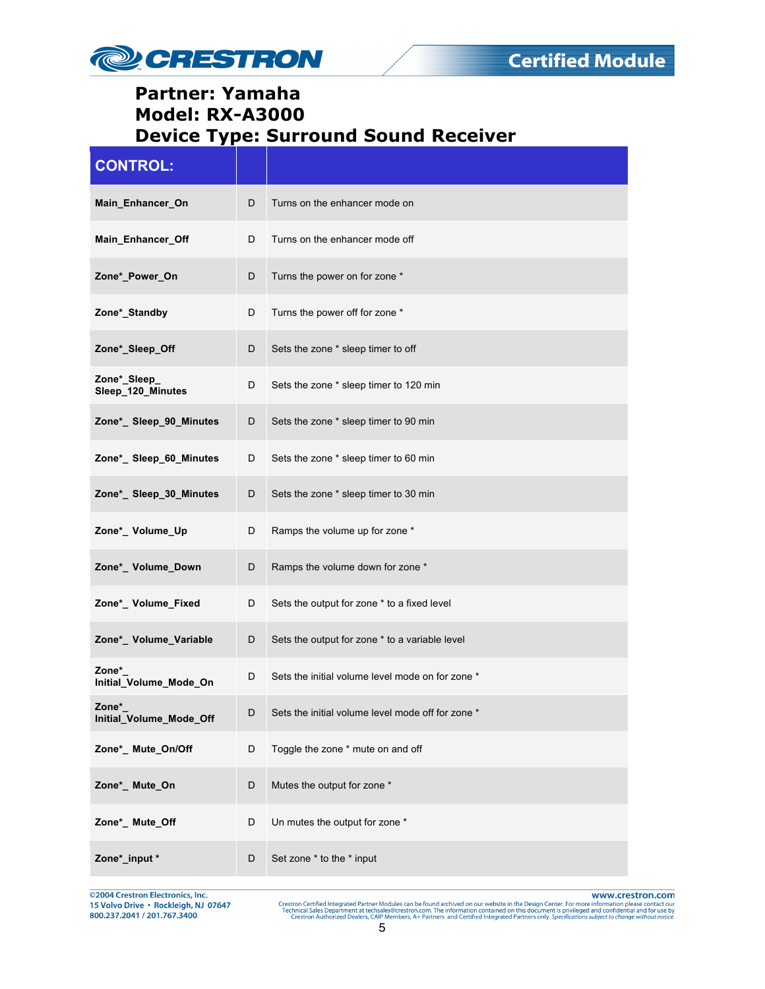

| <b>CONTROL:</b>                   |   |                                                   |
|-----------------------------------|---|---------------------------------------------------|
| Main_Enhancer_On                  | D | Turns on the enhancer mode on                     |
| Main Enhancer Off                 | D | Turns on the enhancer mode off                    |
| Zone*_Power_On                    | D | Turns the power on for zone *                     |
| Zone*_Standby                     | D | Turns the power off for zone *                    |
| Zone*_Sleep_Off                   | D | Sets the zone * sleep timer to off                |
| Zone*_Sleep_<br>Sleep_120_Minutes | D | Sets the zone * sleep timer to 120 min            |
| Zone*_ Sleep_90_Minutes           | D | Sets the zone * sleep timer to 90 min             |
| Zone*_Sleep_60_Minutes            | D | Sets the zone * sleep timer to 60 min             |
| Zone*_ Sleep_30_Minutes           | D | Sets the zone * sleep timer to 30 min             |
| Zone*_Volume_Up                   | D | Ramps the volume up for zone *                    |
| Zone*_ Volume_Down                | D | Ramps the volume down for zone *                  |
| Zone*_Volume_Fixed                | D | Sets the output for zone * to a fixed level       |
| Zone*_ Volume_Variable            | D | Sets the output for zone * to a variable level    |
| Zone*<br>Initial_Volume_Mode_On   | D | Sets the initial volume level mode on for zone *  |
| Zone*<br>Initial_Volume_Mode_Off  |   | Sets the initial volume level mode off for zone * |
| Zone*_ Mute_On/Off                | D | Toggle the zone * mute on and off                 |
| Zone*_ Mute_On                    | D | Mutes the output for zone *                       |
| Zone*_ Mute_Off                   | D | Un mutes the output for zone *                    |
| Zone*_input *                     | D | Set zone * to the * input                         |

@2004 Crestron Electronics, Inc.<br>15 Volvo Drive • Rockleigh, NJ 07647<br>800.237.2041 / 201.767.3400

www.crestron.com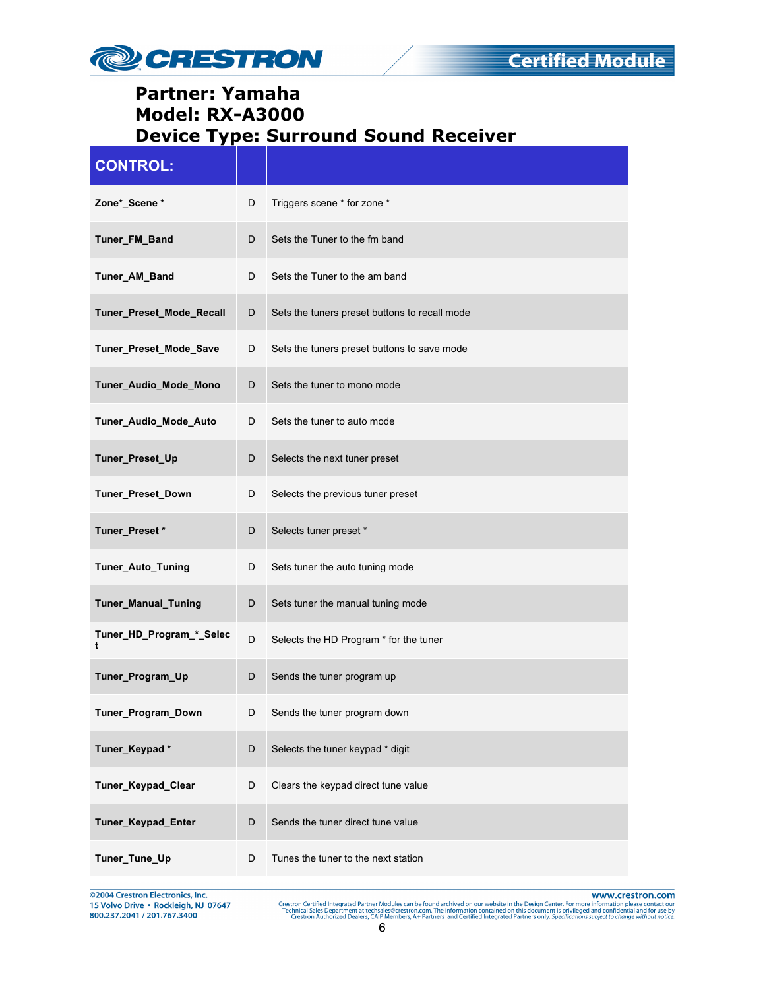

| <b>CONTROL:</b>               |   |                                               |
|-------------------------------|---|-----------------------------------------------|
| Zone*_Scene *                 | D | Triggers scene * for zone *                   |
| Tuner_FM_Band                 | D | Sets the Tuner to the fm band                 |
| Tuner_AM_Band                 | D | Sets the Tuner to the am band                 |
| Tuner_Preset_Mode_Recall      | D | Sets the tuners preset buttons to recall mode |
| Tuner_Preset_Mode_Save        | D | Sets the tuners preset buttons to save mode   |
| Tuner_Audio_Mode_Mono         | D | Sets the tuner to mono mode                   |
| Tuner_Audio_Mode_Auto         | D | Sets the tuner to auto mode                   |
| Tuner_Preset_Up               | D | Selects the next tuner preset                 |
| Tuner_Preset_Down             | D | Selects the previous tuner preset             |
| Tuner_Preset*                 | D | Selects tuner preset *                        |
| Tuner_Auto_Tuning             | D | Sets tuner the auto tuning mode               |
| Tuner_Manual_Tuning           | D | Sets tuner the manual tuning mode             |
| Tuner_HD_Program_*_Selec<br>t | D | Selects the HD Program * for the tuner        |
| Tuner_Program_Up              | D | Sends the tuner program up                    |
| Tuner_Program_Down            | D | Sends the tuner program down                  |
| Tuner_Keypad*                 | D | Selects the tuner keypad * digit              |
| Tuner_Keypad_Clear            | D | Clears the keypad direct tune value           |
| Tuner_Keypad_Enter            | D | Sends the tuner direct tune value             |
| Tuner_Tune_Up                 | D | Tunes the tuner to the next station           |

©2004 Crestron Electronics, Inc.<br>15 Volvo Drive • Rockleigh, NJ 07647<br>800.237.2041 / 201.767.3400

www.crestron.com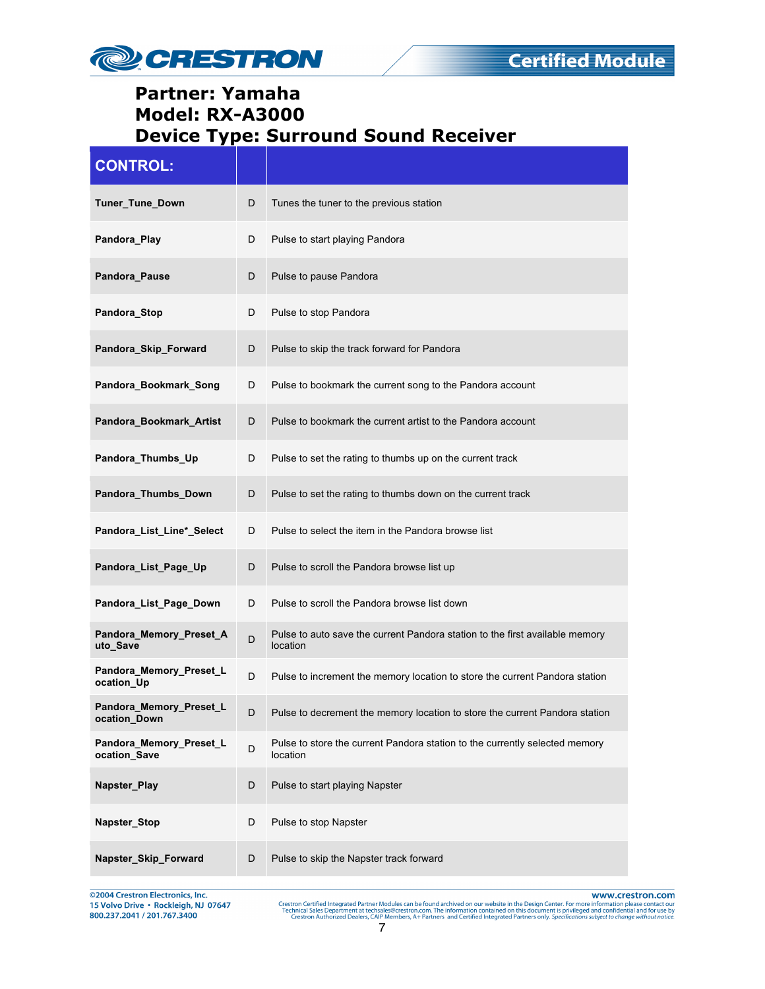

| <b>CONTROL:</b>                         |   |                                                                                          |
|-----------------------------------------|---|------------------------------------------------------------------------------------------|
| Tuner_Tune_Down                         | D | Tunes the tuner to the previous station                                                  |
| Pandora_Play                            | D | Pulse to start playing Pandora                                                           |
| Pandora_Pause                           | D | Pulse to pause Pandora                                                                   |
| Pandora_Stop                            | D | Pulse to stop Pandora                                                                    |
| Pandora_Skip_Forward                    | D | Pulse to skip the track forward for Pandora                                              |
| Pandora_Bookmark_Song                   | D | Pulse to bookmark the current song to the Pandora account                                |
| Pandora_Bookmark_Artist                 | D | Pulse to bookmark the current artist to the Pandora account                              |
| Pandora_Thumbs_Up                       | D | Pulse to set the rating to thumbs up on the current track                                |
| Pandora_Thumbs_Down                     | D | Pulse to set the rating to thumbs down on the current track                              |
| Pandora_List_Line*_Select               | D | Pulse to select the item in the Pandora browse list                                      |
| Pandora_List_Page_Up                    | D | Pulse to scroll the Pandora browse list up                                               |
| Pandora_List_Page_Down                  | D | Pulse to scroll the Pandora browse list down                                             |
| Pandora_Memory_Preset_A<br>uto Save     | D | Pulse to auto save the current Pandora station to the first available memory<br>location |
| Pandora_Memory_Preset_L<br>ocation_Up   | D | Pulse to increment the memory location to store the current Pandora station              |
| Pandora_Memory_Preset_L<br>ocation_Down | D | Pulse to decrement the memory location to store the current Pandora station              |
| Pandora Memory Preset L<br>ocation Save | D | Pulse to store the current Pandora station to the currently selected memory<br>location  |
| Napster_Play                            | D | Pulse to start playing Napster                                                           |
| <b>Napster Stop</b>                     | D | Pulse to stop Napster                                                                    |
| Napster_Skip_Forward                    | D | Pulse to skip the Napster track forward                                                  |

@2004 Crestron Electronics, Inc. 15 Volvo Drive · Rockleigh, NJ 07647 800.237.2041 / 201.767.3400

www.crestron.com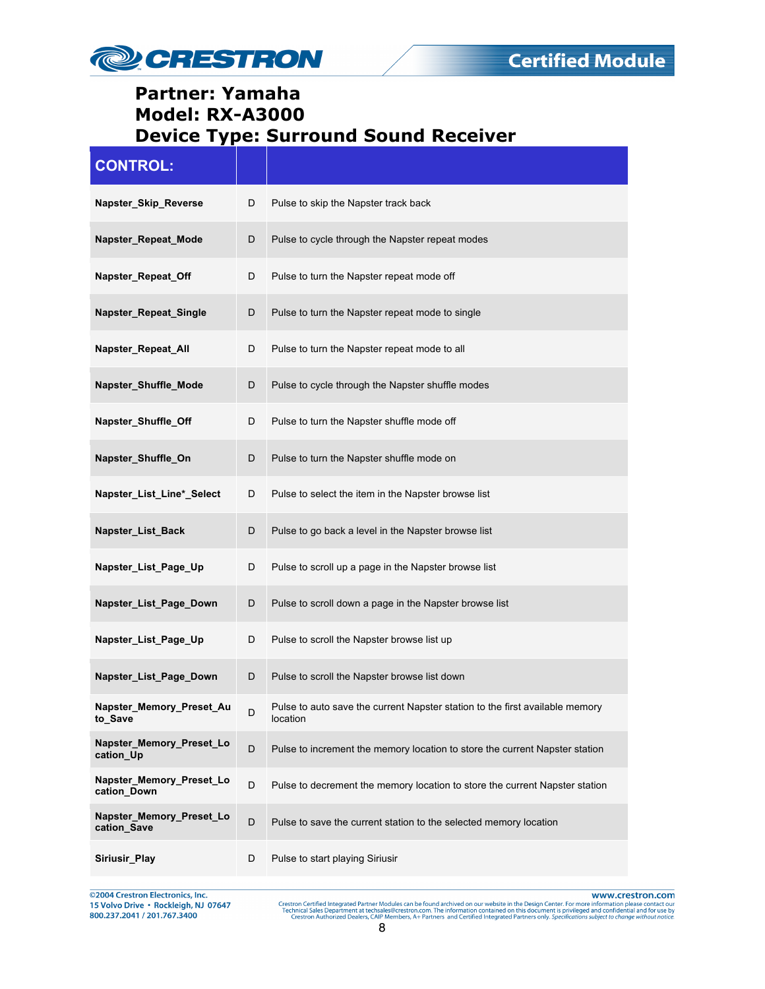

| <b>CONTROL:</b>                         |             |                                                                                          |
|-----------------------------------------|-------------|------------------------------------------------------------------------------------------|
| Napster_Skip_Reverse                    | D           | Pulse to skip the Napster track back                                                     |
| Napster_Repeat_Mode                     | D           | Pulse to cycle through the Napster repeat modes                                          |
| Napster_Repeat_Off                      | D           | Pulse to turn the Napster repeat mode off                                                |
| Napster_Repeat_Single                   | D           | Pulse to turn the Napster repeat mode to single                                          |
| Napster_Repeat_All                      | D           | Pulse to turn the Napster repeat mode to all                                             |
| Napster_Shuffle_Mode                    | D           | Pulse to cycle through the Napster shuffle modes                                         |
| Napster_Shuffle_Off                     | D           | Pulse to turn the Napster shuffle mode off                                               |
| Napster_Shuffle_On                      | D           | Pulse to turn the Napster shuffle mode on                                                |
| Napster_List_Line*_Select               | D           | Pulse to select the item in the Napster browse list                                      |
| Napster_List_Back                       | D           | Pulse to go back a level in the Napster browse list                                      |
| Napster_List_Page_Up                    | D           | Pulse to scroll up a page in the Napster browse list                                     |
| Napster_List_Page_Down                  | D           | Pulse to scroll down a page in the Napster browse list                                   |
| Napster_List_Page_Up                    | D           | Pulse to scroll the Napster browse list up                                               |
| Napster_List_Page_Down                  | D           | Pulse to scroll the Napster browse list down                                             |
| Napster_Memory_Preset_Au<br>to_Save     | D           | Pulse to auto save the current Napster station to the first available memory<br>location |
| Napster Memory Preset Lo<br>cation_Up   | D           | Pulse to increment the memory location to store the current Napster station              |
| Napster_Memory_Preset_Lo<br>cation Down | $\mathsf D$ | Pulse to decrement the memory location to store the current Napster station              |
| Napster_Memory_Preset_Lo<br>cation_Save | D           | Pulse to save the current station to the selected memory location                        |
| Siriusir Play                           | D           | Pulse to start playing Siriusir                                                          |

@2004 Crestron Electronics, Inc.<br>15 Volvo Drive • Rockleigh, NJ 07647<br>800.237.2041 / 201.767.3400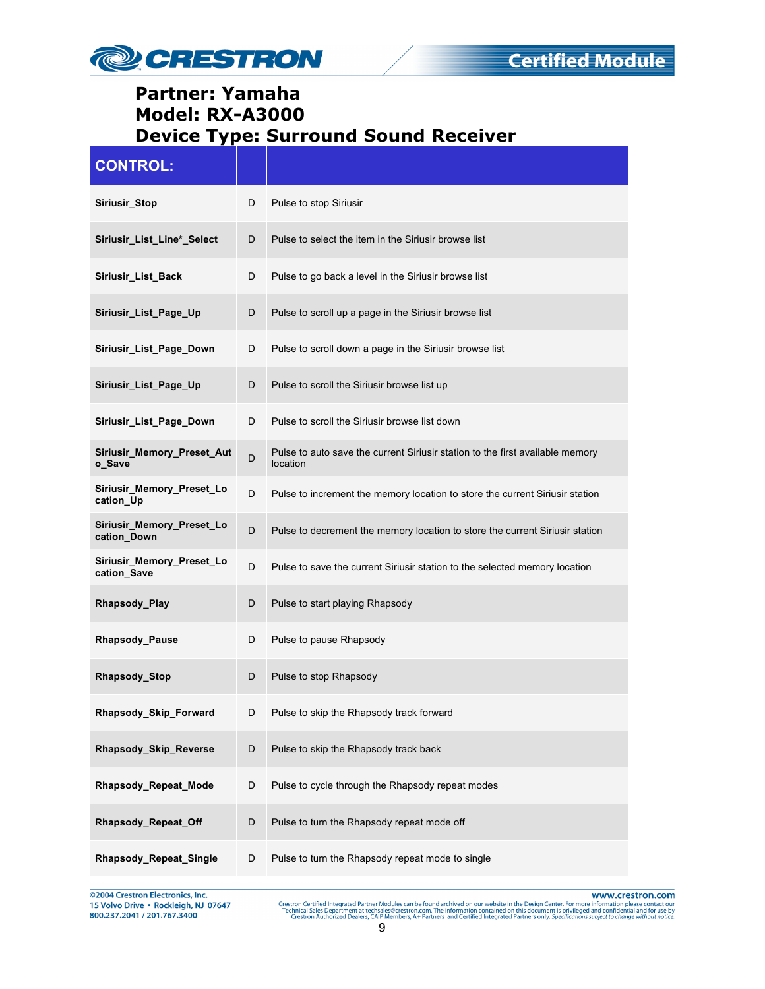

| <b>CONTROL:</b>                             |    |                                                                                           |
|---------------------------------------------|----|-------------------------------------------------------------------------------------------|
| Siriusir_Stop                               | D  | Pulse to stop Siriusir                                                                    |
| Siriusir_List_Line*_Select                  | D  | Pulse to select the item in the Siriusir browse list                                      |
| Siriusir_List_Back                          | D  | Pulse to go back a level in the Siriusir browse list                                      |
| Siriusir_List_Page_Up                       | D  | Pulse to scroll up a page in the Siriusir browse list                                     |
| Siriusir_List_Page_Down                     | D  | Pulse to scroll down a page in the Siriusir browse list                                   |
| Siriusir_List_Page_Up                       | D  | Pulse to scroll the Siriusir browse list up                                               |
| Siriusir List Page Down                     | D  | Pulse to scroll the Siriusir browse list down                                             |
| <b>Siriusir Memory Preset Aut</b><br>o_Save | D  | Pulse to auto save the current Siriusir station to the first available memory<br>location |
| Siriusir_Memory_Preset_Lo<br>cation Up      | D  | Pulse to increment the memory location to store the current Siriusir station              |
| Siriusir_Memory_Preset_Lo<br>cation_Down    | D  | Pulse to decrement the memory location to store the current Siriusir station              |
| Siriusir_Memory_Preset_Lo<br>cation_Save    | D  | Pulse to save the current Siriusir station to the selected memory location                |
| Rhapsody_Play                               | D  | Pulse to start playing Rhapsody                                                           |
| <b>Rhapsody Pause</b>                       | D  | Pulse to pause Rhapsody                                                                   |
| Rhapsody_Stop                               | D  | Pulse to stop Rhapsody                                                                    |
| Rhapsody_Skip_Forward                       | D. | Pulse to skip the Rhapsody track forward                                                  |
| Rhapsody_Skip_Reverse                       | D  | Pulse to skip the Rhapsody track back                                                     |
| Rhapsody_Repeat_Mode                        | D  | Pulse to cycle through the Rhapsody repeat modes                                          |
| Rhapsody_Repeat_Off                         | D  | Pulse to turn the Rhapsody repeat mode off                                                |
| Rhapsody_Repeat_Single                      | D  | Pulse to turn the Rhapsody repeat mode to single                                          |

@2004 Crestron Electronics, Inc.<br>15 Volvo Drive • Rockleigh, NJ 07647<br>800.237.2041 / 201.767.3400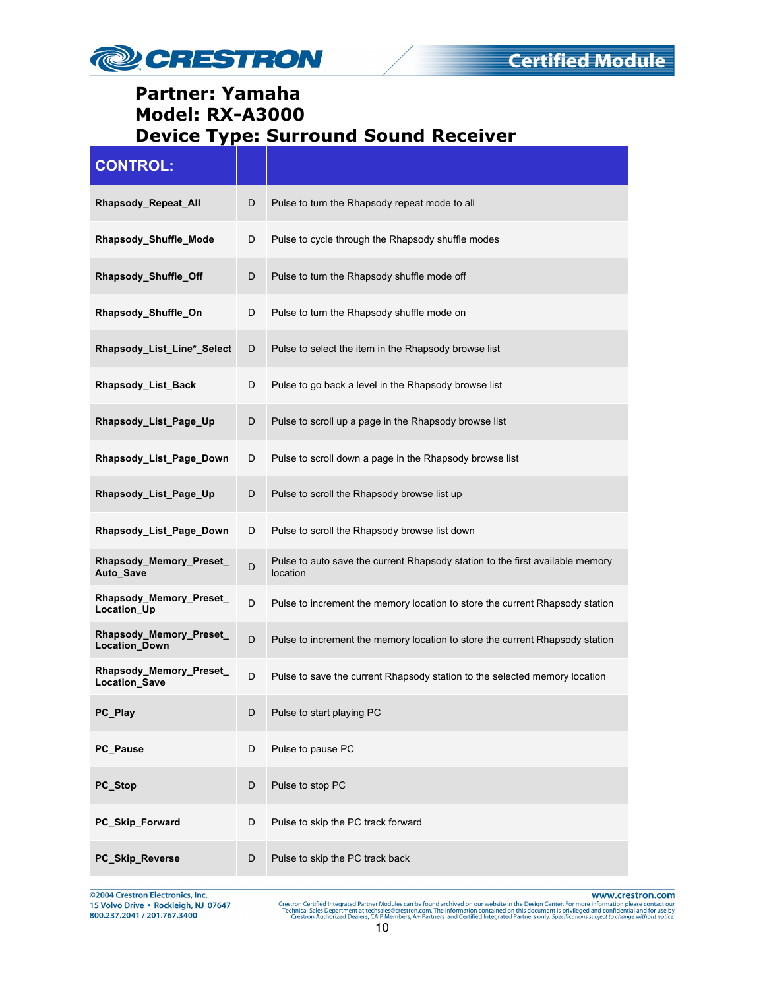

| <b>CONTROL:</b>                          |             |                                                                                           |
|------------------------------------------|-------------|-------------------------------------------------------------------------------------------|
| Rhapsody_Repeat_All                      | D           | Pulse to turn the Rhapsody repeat mode to all                                             |
| Rhapsody_Shuffle_Mode                    | D           | Pulse to cycle through the Rhapsody shuffle modes                                         |
| Rhapsody_Shuffle_Off                     | D           | Pulse to turn the Rhapsody shuffle mode off                                               |
| Rhapsody_Shuffle_On                      | D           | Pulse to turn the Rhapsody shuffle mode on                                                |
| Rhapsody_List_Line*_Select               | D           | Pulse to select the item in the Rhapsody browse list                                      |
| Rhapsody_List_Back                       | D           | Pulse to go back a level in the Rhapsody browse list                                      |
| Rhapsody_List_Page_Up                    | D           | Pulse to scroll up a page in the Rhapsody browse list                                     |
| Rhapsody List Page Down                  | D           | Pulse to scroll down a page in the Rhapsody browse list                                   |
| Rhapsody_List_Page_Up                    | D           | Pulse to scroll the Rhapsody browse list up                                               |
| Rhapsody_List_Page_Down                  | D           | Pulse to scroll the Rhapsody browse list down                                             |
| Rhapsody_Memory_Preset_<br>Auto_Save     | D           | Pulse to auto save the current Rhapsody station to the first available memory<br>location |
| Rhapsody_Memory_Preset_<br>Location_Up   | D           | Pulse to increment the memory location to store the current Rhapsody station              |
| Rhapsody_Memory_Preset_<br>Location_Down | D           | Pulse to increment the memory location to store the current Rhapsody station              |
| Rhapsody_Memory_Preset_<br>Location_Save | $\mathsf D$ | Pulse to save the current Rhapsody station to the selected memory location                |
| PC_Play                                  | D           | Pulse to start playing PC                                                                 |
| PC_Pause                                 | D           | Pulse to pause PC                                                                         |
| PC_Stop                                  | D           | Pulse to stop PC                                                                          |
| PC_Skip_Forward                          | D           | Pulse to skip the PC track forward                                                        |
| PC_Skip_Reverse                          | D           | Pulse to skip the PC track back                                                           |

@2004 Crestron Electronics, Inc. 15 Volvo Drive · Rockleigh, NJ 07647 800.237.2041 / 201.767.3400

www.crestron.com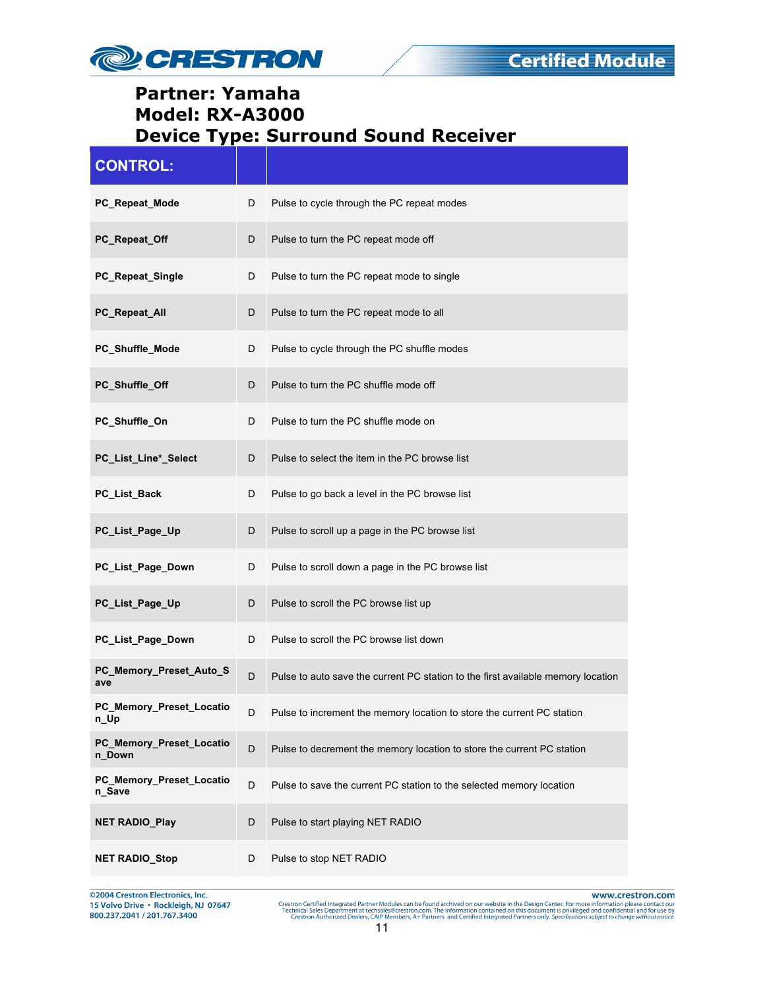

| <b>CONTROL:</b>                    |   |                                                                                  |
|------------------------------------|---|----------------------------------------------------------------------------------|
| PC_Repeat_Mode                     | D | Pulse to cycle through the PC repeat modes                                       |
| PC_Repeat_Off                      | D | Pulse to turn the PC repeat mode off                                             |
| PC_Repeat_Single                   | D | Pulse to turn the PC repeat mode to single                                       |
| PC_Repeat_All                      | D | Pulse to turn the PC repeat mode to all                                          |
| PC_Shuffle_Mode                    | D | Pulse to cycle through the PC shuffle modes                                      |
| PC_Shuffle_Off                     | D | Pulse to turn the PC shuffle mode off                                            |
| PC_Shuffle_On                      | D | Pulse to turn the PC shuffle mode on                                             |
| PC_List_Line*_Select               | D | Pulse to select the item in the PC browse list                                   |
| PC_List_Back                       | D | Pulse to go back a level in the PC browse list                                   |
| PC_List_Page_Up                    | D | Pulse to scroll up a page in the PC browse list                                  |
| PC_List_Page_Down                  | D | Pulse to scroll down a page in the PC browse list                                |
| PC_List_Page_Up                    | D | Pulse to scroll the PC browse list up                                            |
| PC_List_Page_Down                  | D | Pulse to scroll the PC browse list down                                          |
| PC_Memory_Preset_Auto_S<br>ave     | D | Pulse to auto save the current PC station to the first available memory location |
| PC_Memory_Preset_Locatio<br>n_Up   | D | Pulse to increment the memory location to store the current PC station           |
| PC_Memory_Preset_Locatio<br>n_Down | D | Pulse to decrement the memory location to store the current PC station           |
| PC_Memory_Preset_Locatio<br>n_Save | D | Pulse to save the current PC station to the selected memory location             |
| <b>NET RADIO_Play</b>              | D | Pulse to start playing NET RADIO                                                 |
| <b>NET RADIO_Stop</b>              | D | Pulse to stop NET RADIO                                                          |

©2004 Crestron Electronics, Inc.<br>15 Volvo Drive • Rockleigh, NJ 07647<br>800.237.2041 / 201.767.3400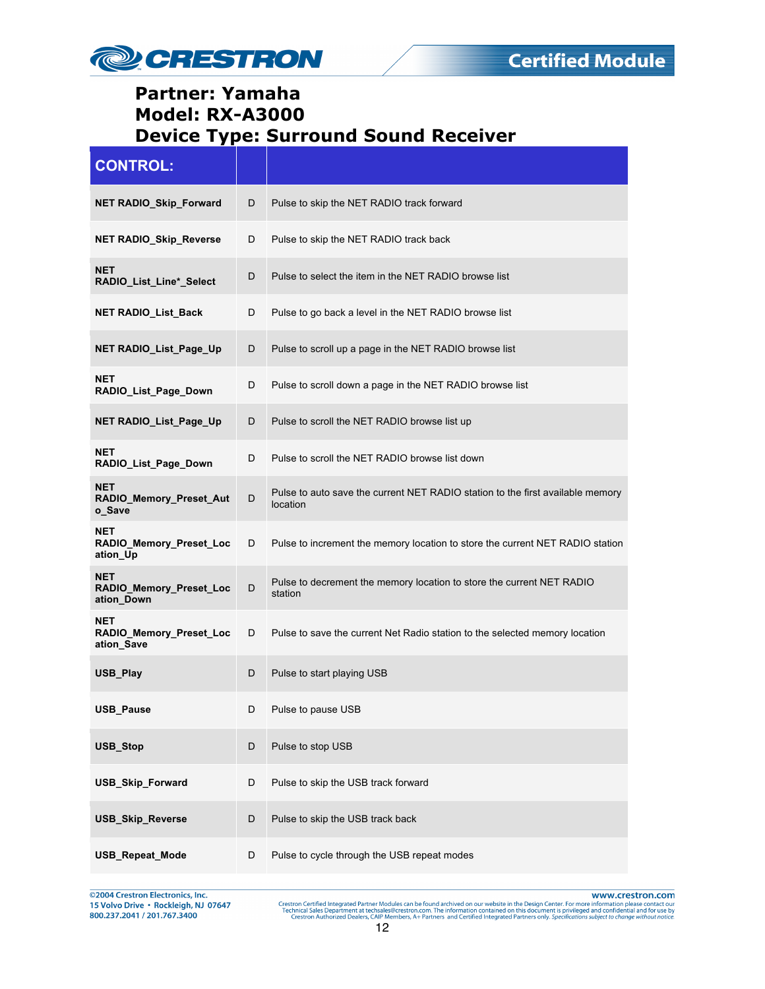

| <b>CONTROL:</b>                                     |   |                                                                                            |
|-----------------------------------------------------|---|--------------------------------------------------------------------------------------------|
| <b>NET RADIO_Skip_Forward</b>                       | D | Pulse to skip the NET RADIO track forward                                                  |
| <b>NET RADIO Skip Reverse</b>                       | D | Pulse to skip the NET RADIO track back                                                     |
| <b>NET</b><br>RADIO_List_Line*_Select               | D | Pulse to select the item in the NET RADIO browse list                                      |
| <b>NET RADIO List Back</b>                          | D | Pulse to go back a level in the NET RADIO browse list                                      |
| NET RADIO_List_Page_Up                              | D | Pulse to scroll up a page in the NET RADIO browse list                                     |
| <b>NET</b><br>RADIO List Page Down                  | D | Pulse to scroll down a page in the NET RADIO browse list                                   |
| NET RADIO_List_Page_Up                              | D | Pulse to scroll the NET RADIO browse list up                                               |
| <b>NET</b><br>RADIO_List_Page_Down                  | D | Pulse to scroll the NET RADIO browse list down                                             |
| <b>NET</b><br>RADIO_Memory_Preset_Aut<br>o Save     | D | Pulse to auto save the current NET RADIO station to the first available memory<br>location |
| NET<br>RADIO_Memory_Preset_Loc<br>ation_Up          | D | Pulse to increment the memory location to store the current NET RADIO station              |
| <b>NET</b><br>RADIO_Memory_Preset_Loc<br>ation_Down | D | Pulse to decrement the memory location to store the current NET RADIO<br>station           |
| <b>NET</b><br>RADIO_Memory_Preset_Loc<br>ation_Save | D | Pulse to save the current Net Radio station to the selected memory location                |
| USB_Play                                            | D | Pulse to start playing USB                                                                 |
| <b>USB Pause</b>                                    | D | Pulse to pause USB                                                                         |
| USB_Stop                                            | D | Pulse to stop USB                                                                          |
| <b>USB_Skip_Forward</b>                             | D | Pulse to skip the USB track forward                                                        |
| <b>USB_Skip_Reverse</b>                             | D | Pulse to skip the USB track back                                                           |
| <b>USB_Repeat_Mode</b>                              | D | Pulse to cycle through the USB repeat modes                                                |

@2004 Crestron Electronics, Inc.<br>15 Volvo Drive • Rockleigh, NJ 07647<br>800.237.2041 / 201.767.3400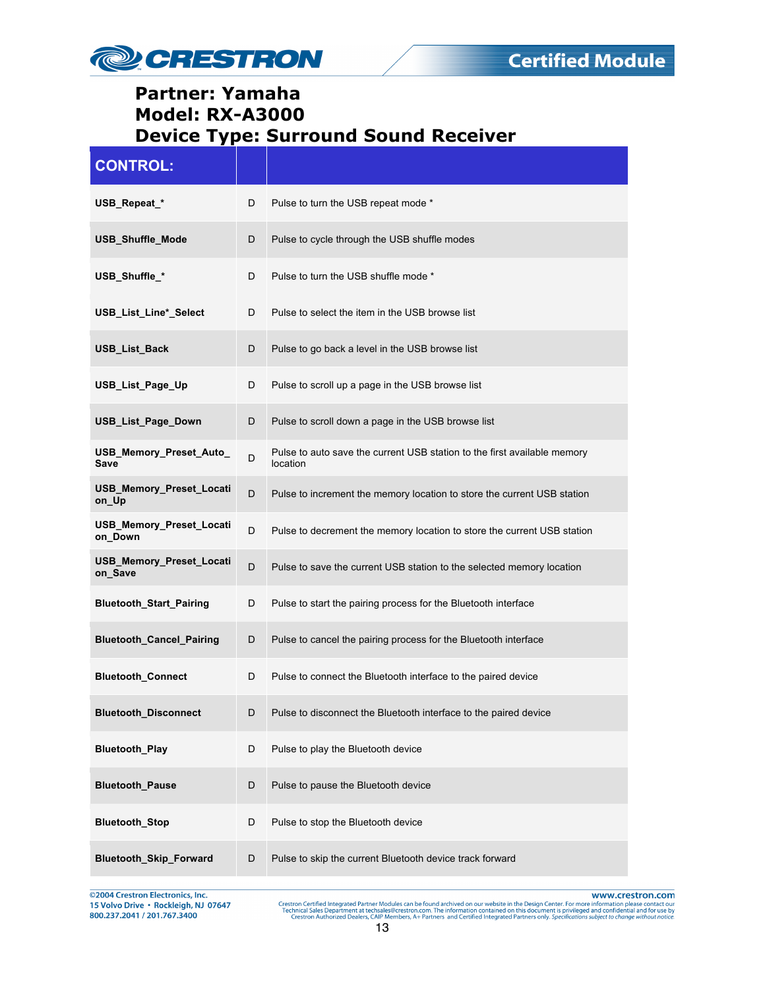

| <b>CONTROL:</b>                     |   |                                                                                      |
|-------------------------------------|---|--------------------------------------------------------------------------------------|
| USB_Repeat_*                        | D | Pulse to turn the USB repeat mode *                                                  |
| USB_Shuffle_Mode                    | D | Pulse to cycle through the USB shuffle modes                                         |
| USB_Shuffle_*                       | D | Pulse to turn the USB shuffle mode *                                                 |
| USB_List_Line*_Select               | D | Pulse to select the item in the USB browse list                                      |
| <b>USB List Back</b>                | D | Pulse to go back a level in the USB browse list                                      |
| USB_List_Page_Up                    | D | Pulse to scroll up a page in the USB browse list                                     |
| USB_List_Page_Down                  | D | Pulse to scroll down a page in the USB browse list                                   |
| USB_Memory_Preset_Auto_<br>Save     | D | Pulse to auto save the current USB station to the first available memory<br>location |
| USB_Memory_Preset_Locati<br>on_Up   | D | Pulse to increment the memory location to store the current USB station              |
| USB_Memory_Preset_Locati<br>on Down | D | Pulse to decrement the memory location to store the current USB station              |
| USB_Memory_Preset_Locati<br>on_Save | D | Pulse to save the current USB station to the selected memory location                |
| <b>Bluetooth_Start_Pairing</b>      | D | Pulse to start the pairing process for the Bluetooth interface                       |
| <b>Bluetooth_Cancel_Pairing</b>     | D | Pulse to cancel the pairing process for the Bluetooth interface                      |
| <b>Bluetooth Connect</b>            | D | Pulse to connect the Bluetooth interface to the paired device                        |
| Bluetooth_Disconnect                | D | Pulse to disconnect the Bluetooth interface to the paired device                     |
| <b>Bluetooth_Play</b>               | D | Pulse to play the Bluetooth device                                                   |
| <b>Bluetooth_Pause</b>              | D | Pulse to pause the Bluetooth device                                                  |
| <b>Bluetooth_Stop</b>               | D | Pulse to stop the Bluetooth device                                                   |
| Bluetooth_Skip_Forward              | D | Pulse to skip the current Bluetooth device track forward                             |

©2004 Crestron Electronics, Inc.<br>15 Volvo Drive • Rockleigh, NJ 07647<br>800.237.2041 / 201.767.3400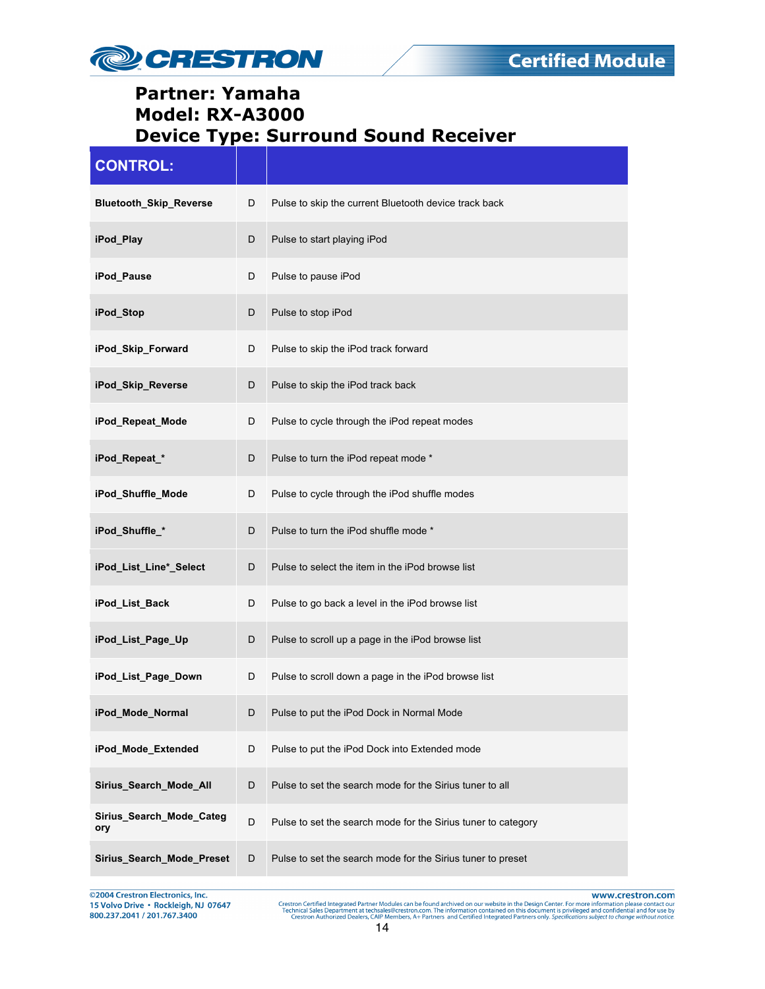

| <b>CONTROL:</b>                 |   |                                                               |
|---------------------------------|---|---------------------------------------------------------------|
| <b>Bluetooth_Skip_Reverse</b>   | D | Pulse to skip the current Bluetooth device track back         |
| iPod_Play                       | D | Pulse to start playing iPod                                   |
| iPod_Pause                      | D | Pulse to pause iPod                                           |
| iPod_Stop                       | D | Pulse to stop iPod                                            |
| iPod_Skip_Forward               | D | Pulse to skip the iPod track forward                          |
| iPod_Skip_Reverse               | D | Pulse to skip the iPod track back                             |
| iPod Repeat Mode                | D | Pulse to cycle through the iPod repeat modes                  |
| iPod_Repeat_*                   | D | Pulse to turn the iPod repeat mode *                          |
| iPod_Shuffle_Mode               | D | Pulse to cycle through the iPod shuffle modes                 |
| iPod_Shuffle_*                  | D | Pulse to turn the iPod shuffle mode *                         |
| iPod_List_Line*_Select          | D | Pulse to select the item in the iPod browse list              |
| iPod_List_Back                  | D | Pulse to go back a level in the iPod browse list              |
| iPod_List_Page_Up               | D | Pulse to scroll up a page in the iPod browse list             |
| iPod_List_Page_Down             | D | Pulse to scroll down a page in the iPod browse list           |
| iPod_Mode_Normal                | D | Pulse to put the iPod Dock in Normal Mode                     |
| iPod_Mode_Extended              | D | Pulse to put the iPod Dock into Extended mode                 |
| Sirius_Search_Mode_All          | D | Pulse to set the search mode for the Sirius tuner to all      |
| Sirius_Search_Mode_Categ<br>ory | D | Pulse to set the search mode for the Sirius tuner to category |
| Sirius_Search_Mode_Preset       | D | Pulse to set the search mode for the Sirius tuner to preset   |

©2004 Crestron Electronics, Inc.<br>15 Volvo Drive • Rockleigh, NJ 07647<br>800.237.2041 / 201.767.3400

www.crestron.com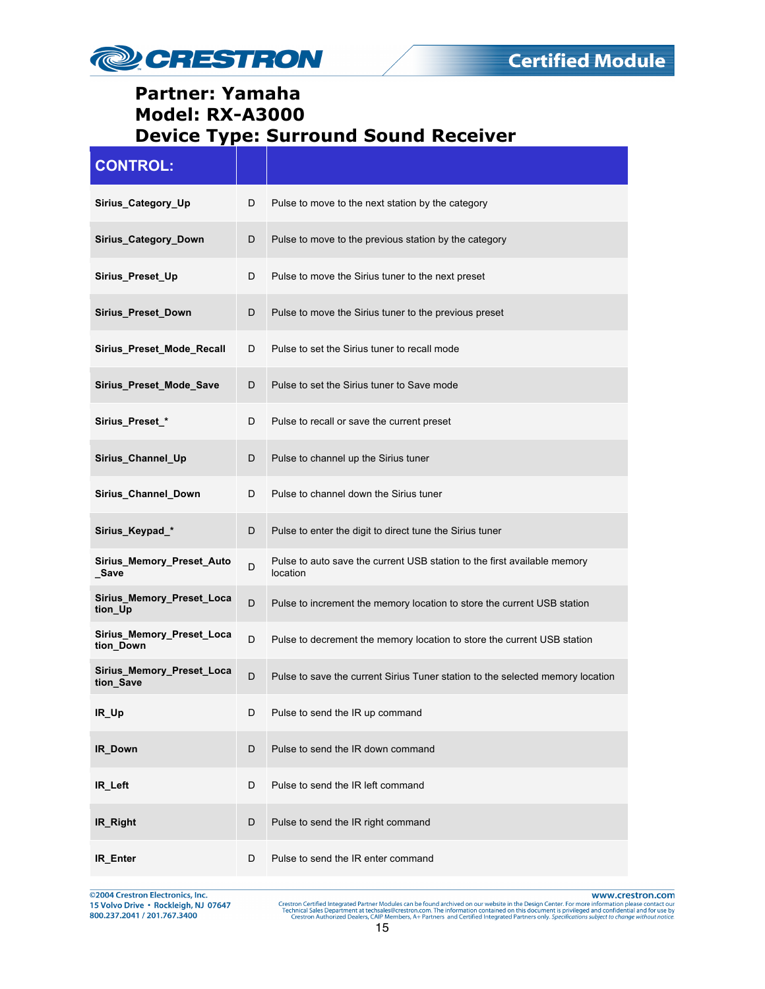

| <b>CONTROL:</b>                        |   |                                                                                      |
|----------------------------------------|---|--------------------------------------------------------------------------------------|
| Sirius_Category_Up                     | D | Pulse to move to the next station by the category                                    |
| Sirius_Category_Down                   | D | Pulse to move to the previous station by the category                                |
| Sirius_Preset_Up                       | D | Pulse to move the Sirius tuner to the next preset                                    |
| Sirius_Preset_Down                     | D | Pulse to move the Sirius tuner to the previous preset                                |
| Sirius_Preset_Mode_Recall              | D | Pulse to set the Sirius tuner to recall mode                                         |
| Sirius_Preset_Mode_Save                | D | Pulse to set the Sirius tuner to Save mode                                           |
| Sirius_Preset_*                        | D | Pulse to recall or save the current preset                                           |
| Sirius_Channel_Up                      | D | Pulse to channel up the Sirius tuner                                                 |
| Sirius_Channel_Down                    | D | Pulse to channel down the Sirius tuner                                               |
| Sirius_Keypad_*                        | D | Pulse to enter the digit to direct tune the Sirius tuner                             |
| Sirius_Memory_Preset_Auto<br>_Save     | D | Pulse to auto save the current USB station to the first available memory<br>location |
| Sirius_Memory_Preset_Loca<br>tion_Up   | D | Pulse to increment the memory location to store the current USB station              |
| Sirius_Memory_Preset_Loca<br>tion Down | D | Pulse to decrement the memory location to store the current USB station              |
| Sirius Memory Preset Loca<br>tion_Save | D | Pulse to save the current Sirius Tuner station to the selected memory location       |
| IR_Up                                  | D | Pulse to send the IR up command                                                      |
| <b>IR Down</b>                         | D | Pulse to send the IR down command                                                    |
| IR Left                                | D | Pulse to send the IR left command                                                    |
| IR_Right                               | D | Pulse to send the IR right command                                                   |
| IR Enter                               | D | Pulse to send the IR enter command                                                   |

©2004 Crestron Electronics, Inc.<br>15 Volvo Drive • Rockleigh, NJ 07647<br>800.237.2041 / 201.767.3400

www.crestron.com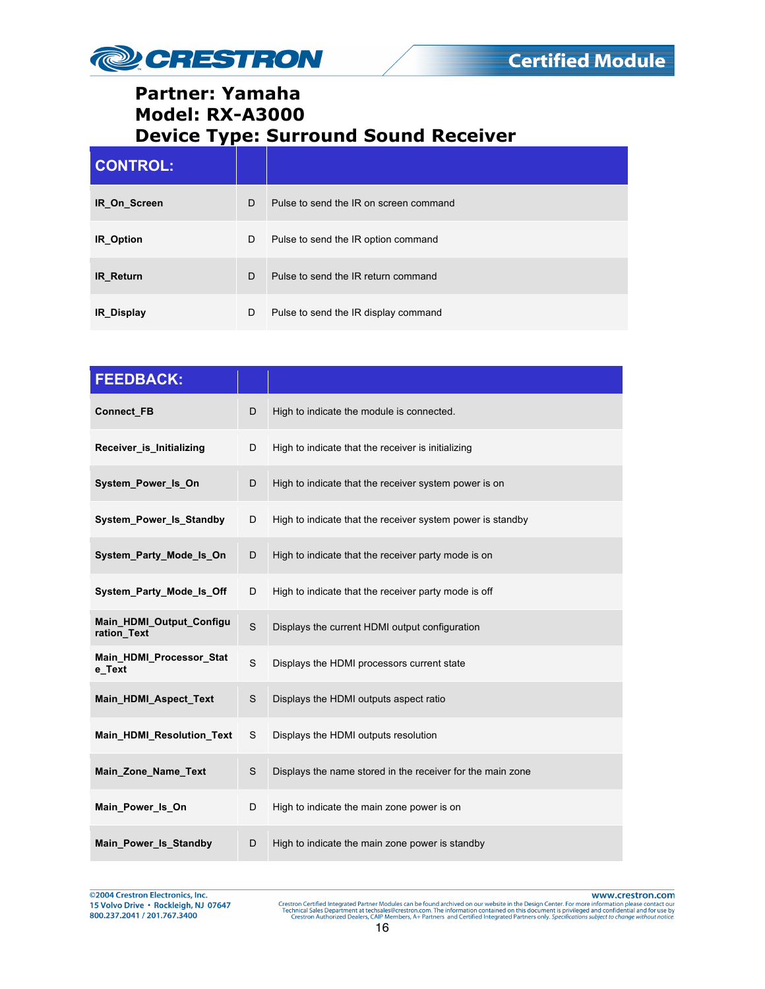

| <b>CONTROL:</b>   |   |                                        |
|-------------------|---|----------------------------------------|
| IR On Screen      | D | Pulse to send the IR on screen command |
| IR_Option         | D | Pulse to send the IR option command    |
| <b>IR Return</b>  | D | Pulse to send the IR return command    |
| <b>IR Display</b> | D | Pulse to send the IR display command   |

| <b>FEEDBACK:</b>                        |   |                                                            |
|-----------------------------------------|---|------------------------------------------------------------|
| Connect_FB                              | D | High to indicate the module is connected.                  |
| Receiver is Initializing                | D | High to indicate that the receiver is initializing         |
| System Power Is On                      | D | High to indicate that the receiver system power is on      |
| System_Power_Is_Standby                 | D | High to indicate that the receiver system power is standby |
| System Party Mode Is On                 | D | High to indicate that the receiver party mode is on        |
| System Party Mode Is Off                | D | High to indicate that the receiver party mode is off       |
| Main_HDMI_Output_Configu<br>ration Text | S | Displays the current HDMI output configuration             |
| Main HDMI Processor Stat<br>e Text      | S | Displays the HDMI processors current state                 |
| Main HDMI Aspect Text                   | S | Displays the HDMI outputs aspect ratio                     |
| Main_HDMI_Resolution_Text               | S | Displays the HDMI outputs resolution                       |
| Main_Zone_Name_Text                     | S | Displays the name stored in the receiver for the main zone |
| Main Power Is On                        | D | High to indicate the main zone power is on                 |
| Main Power Is Standby                   | D | High to indicate the main zone power is standby            |

©2004 Crestron Electronics, Inc.<br>15 Volvo Drive • Rockleigh, NJ 07647 800.237.2041 / 201.767.3400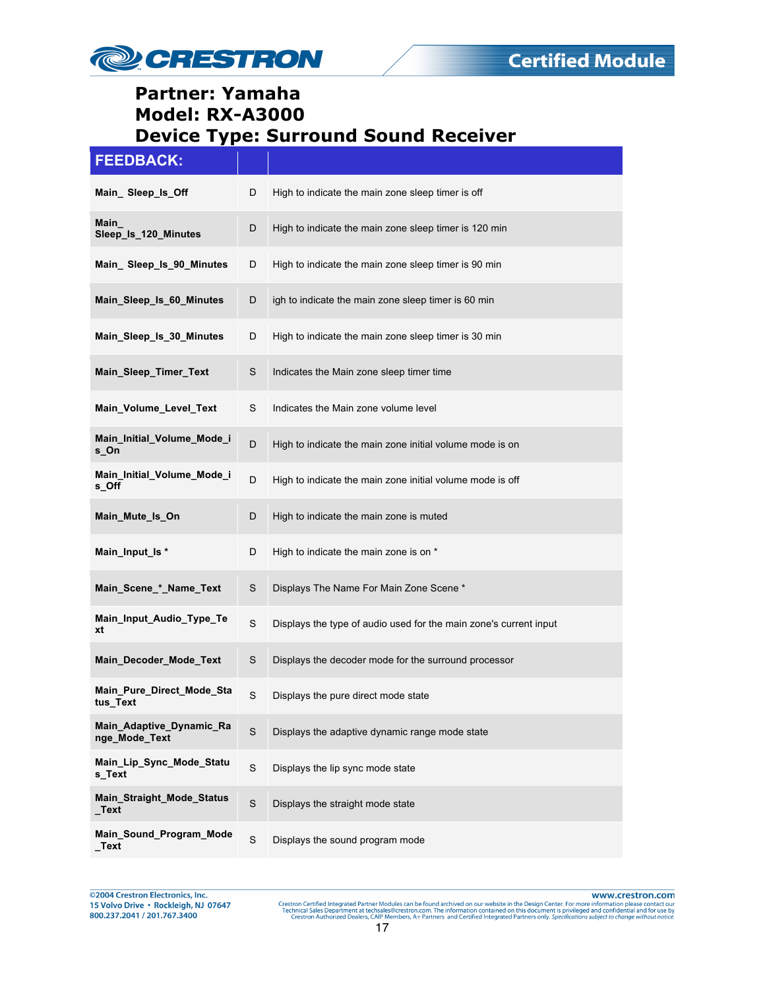

## **FEEDBACK:**

| Main_Sleep_ls_Off                         | D           | High to indicate the main zone sleep timer is off                 |
|-------------------------------------------|-------------|-------------------------------------------------------------------|
| Main<br>Sleep_Is_120_Minutes              | D           | High to indicate the main zone sleep timer is 120 min             |
| Main_Sleep_ls_90_Minutes                  | D           | High to indicate the main zone sleep timer is 90 min              |
| Main Sleep Is 60 Minutes                  | D           | igh to indicate the main zone sleep timer is 60 min               |
| Main_Sleep_Is_30_Minutes                  | D           | High to indicate the main zone sleep timer is 30 min              |
| Main_Sleep_Timer_Text                     | S           | Indicates the Main zone sleep timer time                          |
| Main_Volume_Level_Text                    | S           | Indicates the Main zone volume level                              |
| Main_Initial_Volume_Mode_i<br>s_On        | D           | High to indicate the main zone initial volume mode is on          |
| Main_Initial_Volume_Mode_i<br>s Off       | D           | High to indicate the main zone initial volume mode is off         |
| Main_Mute_Is_On                           | D           | High to indicate the main zone is muted                           |
| Main_Input_Is *                           | D           | High to indicate the main zone is on *                            |
| Main_Scene_*_Name_Text                    | S           | Displays The Name For Main Zone Scene *                           |
| Main_Input_Audio_Type_Te<br>xt            | S           | Displays the type of audio used for the main zone's current input |
| Main Decoder Mode Text                    | S           | Displays the decoder mode for the surround processor              |
| Main_Pure_Direct_Mode_Sta<br>tus_Text     | S           | Displays the pure direct mode state                               |
| Main_Adaptive_Dynamic_Ra<br>nge_Mode_Text | $\mathbf S$ | Displays the adaptive dynamic range mode state                    |
| Main_Lip_Sync_Mode_Statu<br>s_Text        | $\mathbf S$ | Displays the lip sync mode state                                  |
| Main_Straight_Mode_Status<br>$\_Text$     | S           | Displays the straight mode state                                  |
| Main_Sound_Program_Mode<br>$\_Text$       | $\mathbf S$ | Displays the sound program mode                                   |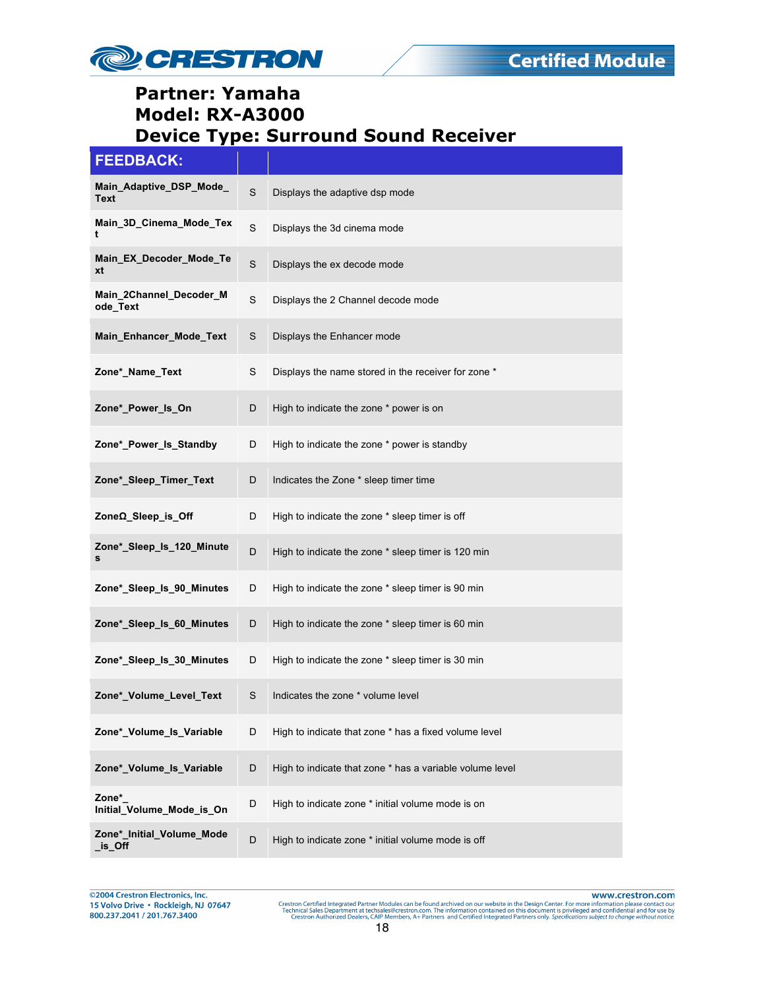

| <b>FEEDBACK:</b>                       |             |                                                          |
|----------------------------------------|-------------|----------------------------------------------------------|
| Main_Adaptive_DSP_Mode_<br><b>Text</b> | S           | Displays the adaptive dsp mode                           |
| Main_3D_Cinema_Mode_Tex<br>t           | S           | Displays the 3d cinema mode                              |
| Main_EX_Decoder_Mode_Te<br>xt          | $\mathbf S$ | Displays the ex decode mode                              |
| Main_2Channel_Decoder_M<br>ode_Text    | $\mathbf S$ | Displays the 2 Channel decode mode                       |
| Main_Enhancer_Mode_Text                | S           | Displays the Enhancer mode                               |
| Zone*_Name_Text                        | S           | Displays the name stored in the receiver for zone *      |
| Zone*_Power_Is_On                      | D           | High to indicate the zone * power is on                  |
| Zone*_Power_Is_Standby                 | D           | High to indicate the zone * power is standby             |
| Zone*_Sleep_Timer_Text                 | D           | Indicates the Zone * sleep timer time                    |
| ZoneΩ_Sleep_is_Off                     | D           | High to indicate the zone * sleep timer is off           |
| Zone*_Sleep_ls_120_Minute<br>s         | D           | High to indicate the zone * sleep timer is 120 min       |
| Zone*_Sleep_ls_90_Minutes              | D           | High to indicate the zone * sleep timer is 90 min        |
| Zone*_Sleep_ls_60_Minutes              | D           | High to indicate the zone * sleep timer is 60 min        |
| Zone* Sleep Is 30 Minutes              | D           | High to indicate the zone * sleep timer is 30 min        |
| Zone*_Volume_Level_Text                | S           | Indicates the zone * volume level                        |
| Zone*_Volume_Is_Variable               | D           | High to indicate that zone * has a fixed volume level    |
| Zone*_Volume_Is_Variable               | D           | High to indicate that zone * has a variable volume level |
| Zone*<br>Initial_Volume_Mode_is_On     | D           | High to indicate zone * initial volume mode is on        |
| Zone*_Initial_Volume_Mode<br>is_Off    | D           | High to indicate zone * initial volume mode is off       |

@2004 Crestron Electronics, Inc. 15 Volvo Drive · Rockleigh, NJ 07647 800.237.2041 / 201.767.3400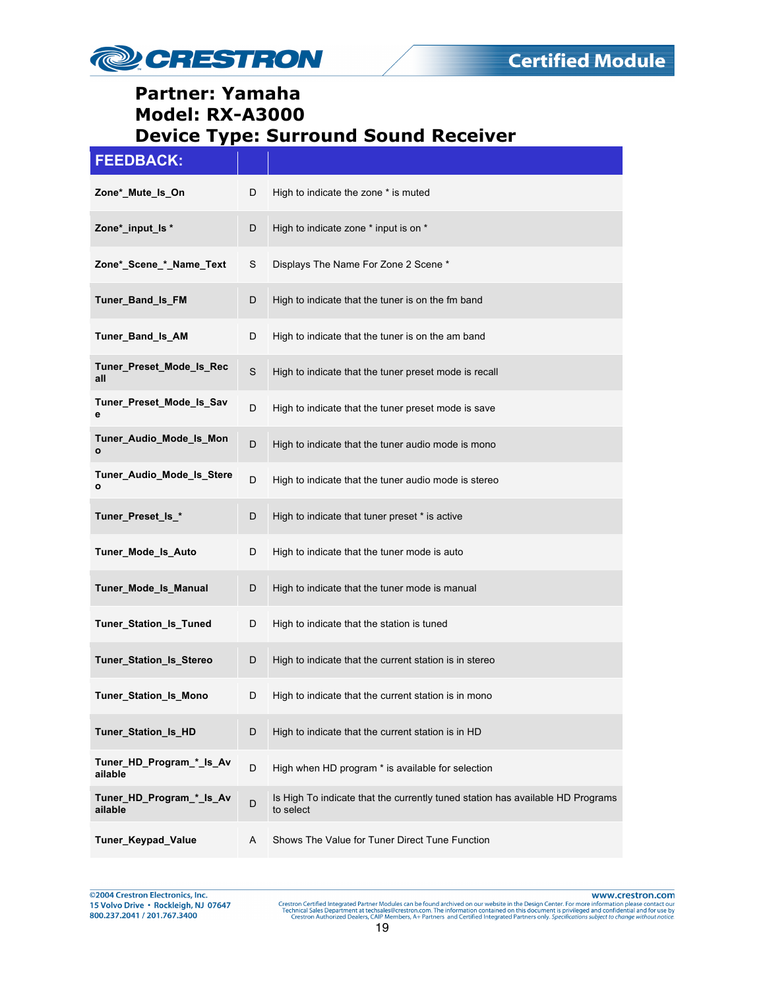

| <b>FEEDBACK:</b>                    |   |                                                                                             |
|-------------------------------------|---|---------------------------------------------------------------------------------------------|
| Zone*_Mute_Is_On                    | D | High to indicate the zone * is muted                                                        |
| Zone*_input_ls *                    | D | High to indicate zone * input is on *                                                       |
| Zone*_Scene_*_Name_Text             | S | Displays The Name For Zone 2 Scene *                                                        |
| Tuner Band Is FM                    | D | High to indicate that the tuner is on the fm band                                           |
| Tuner_Band_Is_AM                    | D | High to indicate that the tuner is on the am band                                           |
| Tuner_Preset_Mode_Is_Rec<br>all     | S | High to indicate that the tuner preset mode is recall                                       |
| Tuner_Preset_Mode_Is_Sav<br>е       | D | High to indicate that the tuner preset mode is save                                         |
| Tuner_Audio_Mode_Is_Mon<br>ο        | D | High to indicate that the tuner audio mode is mono                                          |
| Tuner_Audio_Mode_Is_Stere<br>о      | D | High to indicate that the tuner audio mode is stereo                                        |
| Tuner_Preset_ls_*                   | D | High to indicate that tuner preset * is active                                              |
| Tuner_Mode_Is_Auto                  | D | High to indicate that the tuner mode is auto                                                |
| Tuner_Mode_Is_Manual                | D | High to indicate that the tuner mode is manual                                              |
| Tuner_Station_Is_Tuned              | D | High to indicate that the station is tuned                                                  |
| Tuner_Station_Is_Stereo             | D | High to indicate that the current station is in stereo                                      |
| <b>Tuner Station Is Mono</b>        | D | High to indicate that the current station is in mono                                        |
| Tuner_Station_Is_HD                 | D | High to indicate that the current station is in HD                                          |
| Tuner HD Program * Is Av<br>ailable | D | High when HD program * is available for selection                                           |
| Tuner_HD_Program_*_Is_Av<br>ailable | D | Is High To indicate that the currently tuned station has available HD Programs<br>to select |
| Tuner_Keypad_Value                  | Α | Shows The Value for Tuner Direct Tune Function                                              |

@2004 Crestron Electronics, Inc.<br>15 Volvo Drive • Rockleigh, NJ 07647 800.237.2041 / 201.767.3400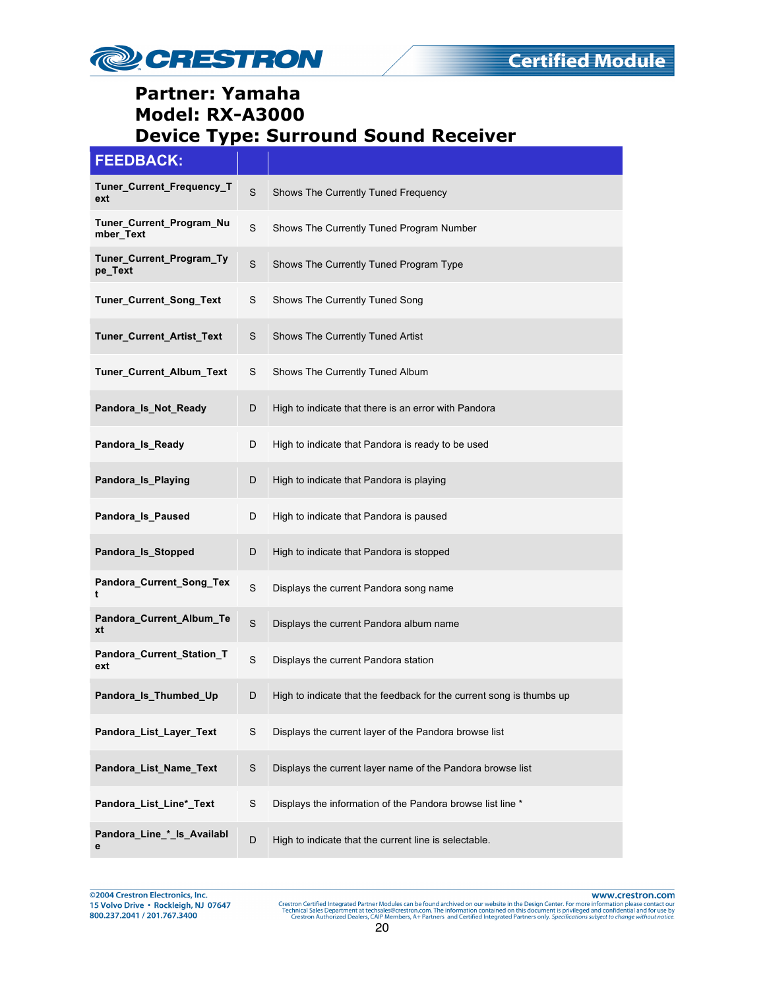

| <b>FEEDBACK:</b>                      |             |                                                                      |
|---------------------------------------|-------------|----------------------------------------------------------------------|
| Tuner_Current_Frequency_T<br>ext      | S           | Shows The Currently Tuned Frequency                                  |
| Tuner_Current_Program_Nu<br>mber_Text | S           | Shows The Currently Tuned Program Number                             |
| Tuner_Current_Program_Ty<br>pe_Text   | S           | Shows The Currently Tuned Program Type                               |
| Tuner_Current_Song_Text               | S           | Shows The Currently Tuned Song                                       |
| Tuner_Current_Artist_Text             | S           | Shows The Currently Tuned Artist                                     |
| Tuner_Current_Album_Text              | S           | Shows The Currently Tuned Album                                      |
| Pandora_Is_Not_Ready                  | D           | High to indicate that there is an error with Pandora                 |
| Pandora_Is_Ready                      | D           | High to indicate that Pandora is ready to be used                    |
| Pandora_Is_Playing                    | D           | High to indicate that Pandora is playing                             |
| Pandora_Is_Paused                     | D           | High to indicate that Pandora is paused                              |
| Pandora_Is_Stopped                    | D           | High to indicate that Pandora is stopped                             |
| Pandora_Current_Song_Tex<br>t         | S           | Displays the current Pandora song name                               |
| Pandora_Current_Album_Te<br>xt        | S           | Displays the current Pandora album name                              |
| Pandora_Current_Station_T<br>ext      | S           | Displays the current Pandora station                                 |
| Pandora_Is_Thumbed_Up                 | D           | High to indicate that the feedback for the current song is thumbs up |
| Pandora_List_Layer_Text               | S           | Displays the current layer of the Pandora browse list                |
| Pandora_List_Name_Text                | $\mathsf S$ | Displays the current layer name of the Pandora browse list           |
| Pandora_List_Line*_Text               | S           | Displays the information of the Pandora browse list line *           |
| Pandora_Line_*_Is_Availabl<br>е       | D           | High to indicate that the current line is selectable.                |

@2004 Crestron Electronics, Inc.<br>15 Volvo Drive • Rockleigh, NJ 07647 800.237.2041 / 201.767.3400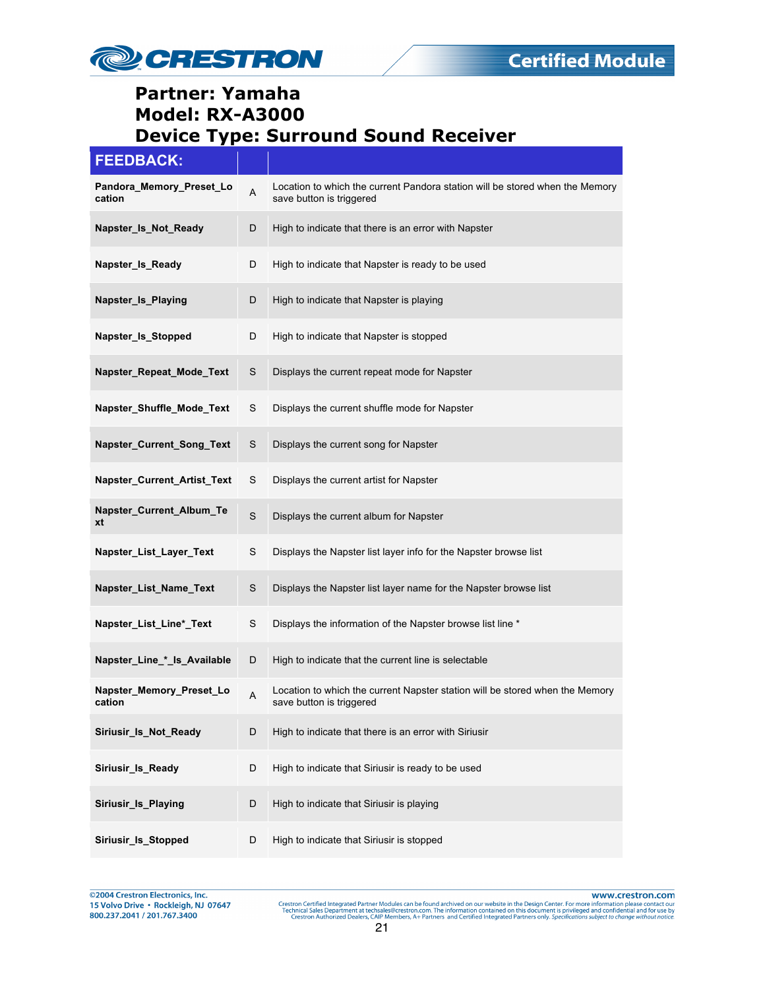

| <b>FEEDBACK:</b>                   |             |                                                                                                          |
|------------------------------------|-------------|----------------------------------------------------------------------------------------------------------|
| Pandora_Memory_Preset_Lo<br>cation | A           | Location to which the current Pandora station will be stored when the Memory<br>save button is triggered |
| Napster_Is_Not_Ready               | D           | High to indicate that there is an error with Napster                                                     |
| Napster_Is_Ready                   | D           | High to indicate that Napster is ready to be used                                                        |
| Napster Is Playing                 | D           | High to indicate that Napster is playing                                                                 |
| Napster_Is_Stopped                 | D           | High to indicate that Napster is stopped                                                                 |
| Napster_Repeat_Mode_Text           | S           | Displays the current repeat mode for Napster                                                             |
| Napster_Shuffle_Mode_Text          | S           | Displays the current shuffle mode for Napster                                                            |
| Napster_Current_Song_Text          | $\mathbf S$ | Displays the current song for Napster                                                                    |
| Napster_Current_Artist_Text        | S           | Displays the current artist for Napster                                                                  |
| Napster_Current_Album_Te<br>xt     | S           | Displays the current album for Napster                                                                   |
| Napster_List_Layer_Text            | S           | Displays the Napster list layer info for the Napster browse list                                         |
| Napster_List_Name_Text             | S           | Displays the Napster list layer name for the Napster browse list                                         |
| Napster_List_Line*_Text            | S           | Displays the information of the Napster browse list line *                                               |
| Napster_Line_*_ls_Available        | D           | High to indicate that the current line is selectable                                                     |
| Napster Memory Preset Lo<br>cation | A           | Location to which the current Napster station will be stored when the Memory<br>save button is triggered |
| Siriusir_Is_Not_Ready              | D           | High to indicate that there is an error with Siriusir                                                    |
| Siriusir_Is_Ready                  | D           | High to indicate that Siriusir is ready to be used                                                       |
| Siriusir_Is_Playing                | D           | High to indicate that Siriusir is playing                                                                |
| Siriusir_Is_Stopped                | D           | High to indicate that Siriusir is stopped                                                                |

@2004 Crestron Electronics, Inc. 15 Volvo Drive · Rockleigh, NJ 07647 800.237.2041 / 201.767.3400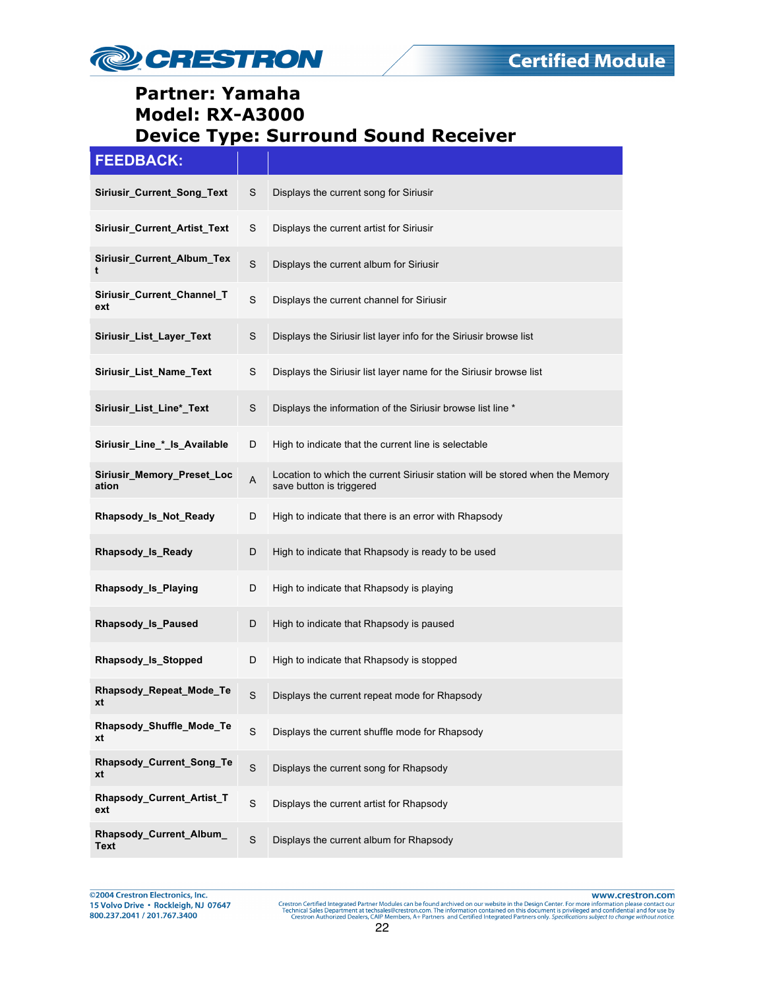

| <b>FEEDBACK:</b>                    |             |                                                                                                           |
|-------------------------------------|-------------|-----------------------------------------------------------------------------------------------------------|
| Siriusir_Current_Song_Text          | S           | Displays the current song for Siriusir                                                                    |
| Siriusir_Current_Artist_Text        | S           | Displays the current artist for Siriusir                                                                  |
| Siriusir_Current_Album_Tex<br>t     | $\mathbf S$ | Displays the current album for Siriusir                                                                   |
| Siriusir_Current_Channel_T<br>ext   | $\mathbf S$ | Displays the current channel for Siriusir                                                                 |
| Siriusir_List_Layer_Text            | S           | Displays the Siriusir list layer info for the Siriusir browse list                                        |
| Siriusir_List_Name_Text             | S           | Displays the Siriusir list layer name for the Siriusir browse list                                        |
| Siriusir_List_Line*_Text            | S           | Displays the information of the Siriusir browse list line *                                               |
| Siriusir_Line_*_ls_Available        | D           | High to indicate that the current line is selectable                                                      |
| Siriusir_Memory_Preset_Loc<br>ation | A           | Location to which the current Siriusir station will be stored when the Memory<br>save button is triggered |
| Rhapsody_Is_Not_Ready               | D           | High to indicate that there is an error with Rhapsody                                                     |
| Rhapsody_Is_Ready                   | D           | High to indicate that Rhapsody is ready to be used                                                        |
| Rhapsody_Is_Playing                 | D           | High to indicate that Rhapsody is playing                                                                 |
| Rhapsody_Is_Paused                  | D           | High to indicate that Rhapsody is paused                                                                  |
| Rhapsody_Is_Stopped                 | D           | High to indicate that Rhapsody is stopped                                                                 |
| Rhapsody_Repeat_Mode_Te<br>xt       | S           | Displays the current repeat mode for Rhapsody                                                             |
| Rhapsody_Shuffle_Mode_Te<br>xt      | S           | Displays the current shuffle mode for Rhapsody                                                            |
| Rhapsody_Current_Song_Te<br>xt      | $\mathbf S$ | Displays the current song for Rhapsody                                                                    |
| Rhapsody_Current_Artist_T<br>ext    | $\mathbf S$ | Displays the current artist for Rhapsody                                                                  |
| Rhapsody_Current_Album_<br>Text     | S           | Displays the current album for Rhapsody                                                                   |

@2004 Crestron Electronics, Inc. 15 Volvo Drive · Rockleigh, NJ 07647 800.237.2041 / 201.767.3400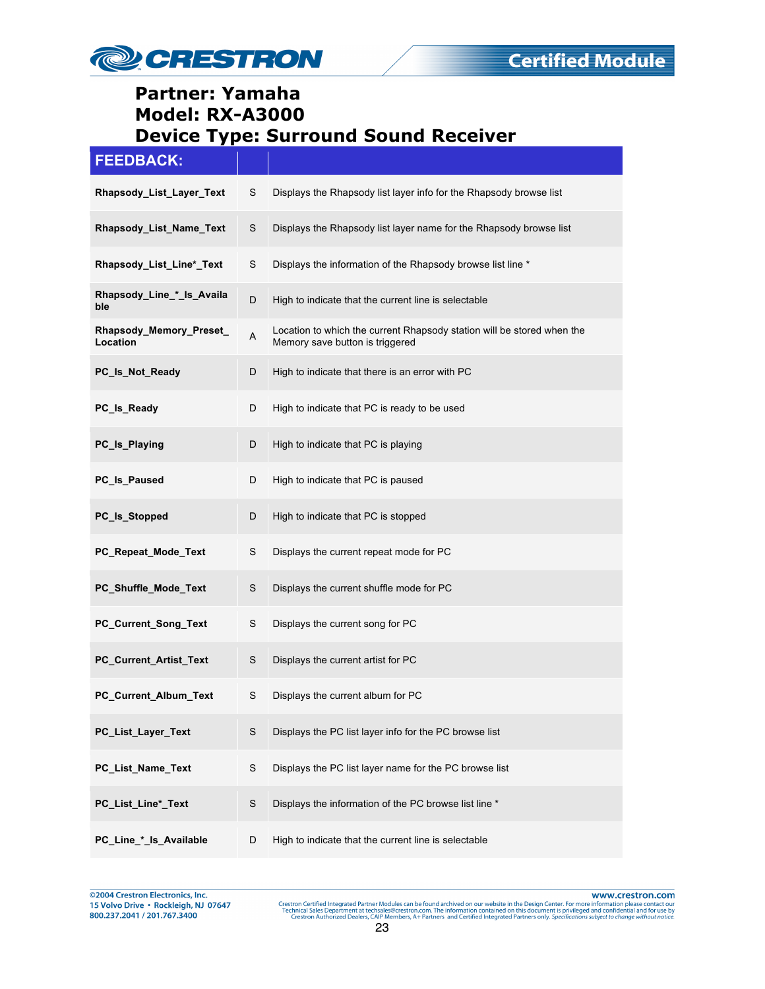

#### **FEEDBACK:**

| Rhapsody_List_Layer_Text            | S             | Displays the Rhapsody list layer info for the Rhapsody browse list                                        |
|-------------------------------------|---------------|-----------------------------------------------------------------------------------------------------------|
| Rhapsody_List_Name_Text             | S             | Displays the Rhapsody list layer name for the Rhapsody browse list                                        |
| Rhapsody_List_Line*_Text            | S             | Displays the information of the Rhapsody browse list line *                                               |
| Rhapsody_Line_*_Is_Availa<br>ble    | D             | High to indicate that the current line is selectable                                                      |
| Rhapsody_Memory_Preset_<br>Location | Α             | Location to which the current Rhapsody station will be stored when the<br>Memory save button is triggered |
| PC_Is_Not_Ready                     | D             | High to indicate that there is an error with PC                                                           |
| PC_Is_Ready                         | D             | High to indicate that PC is ready to be used                                                              |
| PC_Is_Playing                       | D             | High to indicate that PC is playing                                                                       |
| PC_Is_Paused                        | D             | High to indicate that PC is paused                                                                        |
| PC_ls_Stopped                       | D             | High to indicate that PC is stopped                                                                       |
| PC_Repeat_Mode_Text                 | S             | Displays the current repeat mode for PC                                                                   |
| PC_Shuffle_Mode_Text                | S             | Displays the current shuffle mode for PC                                                                  |
| PC_Current_Song_Text                | S             | Displays the current song for PC                                                                          |
| PC_Current_Artist_Text              | S             | Displays the current artist for PC                                                                        |
| PC_Current_Album_Text               | S             | Displays the current album for PC                                                                         |
| PC_List_Layer_Text                  | S             | Displays the PC list layer info for the PC browse list                                                    |
| PC_List_Name_Text                   | ${\mathsf S}$ | Displays the PC list layer name for the PC browse list                                                    |
| PC_List_Line*_Text                  | $\mathbb S$   | Displays the information of the PC browse list line *                                                     |
| PC_Line_*_ls_Available              | D             | High to indicate that the current line is selectable                                                      |

@2004 Crestron Electronics, Inc. 15 Volvo Drive · Rockleigh, NJ 07647 800.237.2041 / 201.767.3400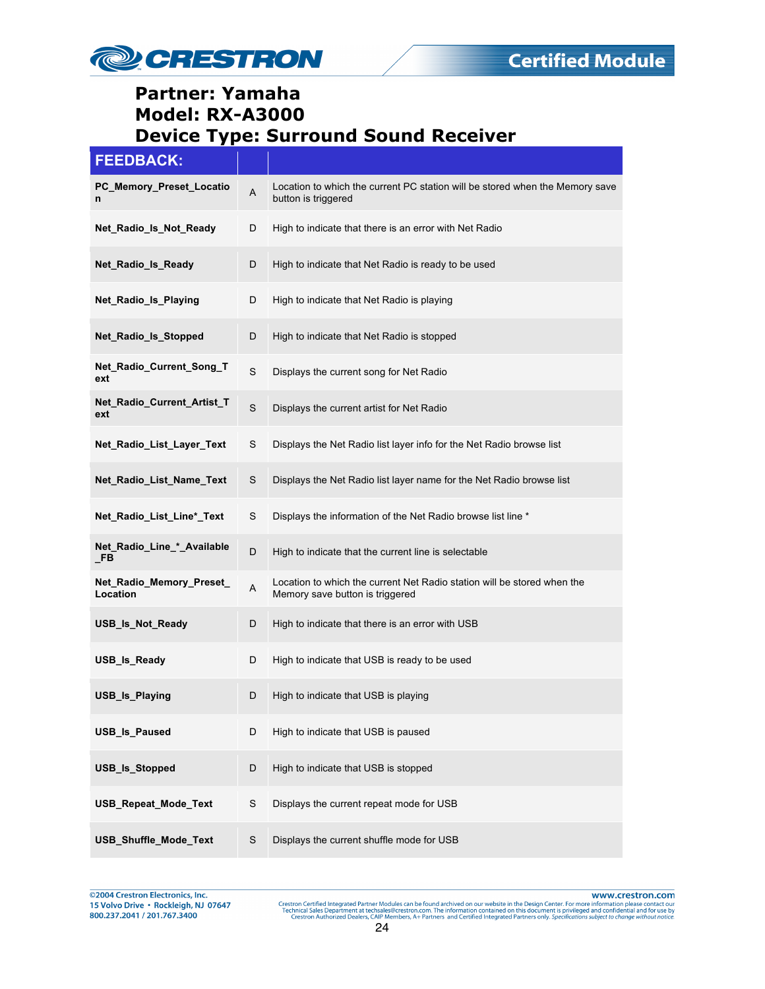

| <b>FEEDBACK:</b>                        |             |                                                                                                            |
|-----------------------------------------|-------------|------------------------------------------------------------------------------------------------------------|
| PC_Memory_Preset_Locatio<br>n           | A           | Location to which the current PC station will be stored when the Memory save<br>button is triggered        |
| Net Radio Is Not Ready                  | D           | High to indicate that there is an error with Net Radio                                                     |
| Net_Radio_Is_Ready                      | D           | High to indicate that Net Radio is ready to be used                                                        |
| Net_Radio_Is_Playing                    | D           | High to indicate that Net Radio is playing                                                                 |
| Net_Radio_Is_Stopped                    | D           | High to indicate that Net Radio is stopped                                                                 |
| Net_Radio_Current_Song_T<br>ext         | S           | Displays the current song for Net Radio                                                                    |
| Net_Radio_Current_Artist_T<br>ext       | $\mathbf S$ | Displays the current artist for Net Radio                                                                  |
| Net_Radio_List_Layer_Text               | S           | Displays the Net Radio list layer info for the Net Radio browse list                                       |
| Net_Radio_List_Name_Text                | S           | Displays the Net Radio list layer name for the Net Radio browse list                                       |
| Net_Radio_List_Line*_Text               | S           | Displays the information of the Net Radio browse list line *                                               |
| Net_Radio_Line_*_Available<br><b>FB</b> | D           | High to indicate that the current line is selectable                                                       |
| Net_Radio_Memory_Preset_<br>Location    | A           | Location to which the current Net Radio station will be stored when the<br>Memory save button is triggered |
| USB_Is_Not_Ready                        | D           | High to indicate that there is an error with USB                                                           |
| USB_Is_Ready                            | D           | High to indicate that USB is ready to be used                                                              |
| USB_Is_Playing                          | D           | High to indicate that USB is playing                                                                       |
| USB_Is_Paused                           | D           | High to indicate that USB is paused                                                                        |
| USB_Is_Stopped                          | D           | High to indicate that USB is stopped                                                                       |
| USB_Repeat_Mode_Text                    | S           | Displays the current repeat mode for USB                                                                   |
| USB_Shuffle_Mode_Text                   | S           | Displays the current shuffle mode for USB                                                                  |

@2004 Crestron Electronics, Inc. 15 Volvo Drive · Rockleigh, NJ 07647 800.237.2041 / 201.767.3400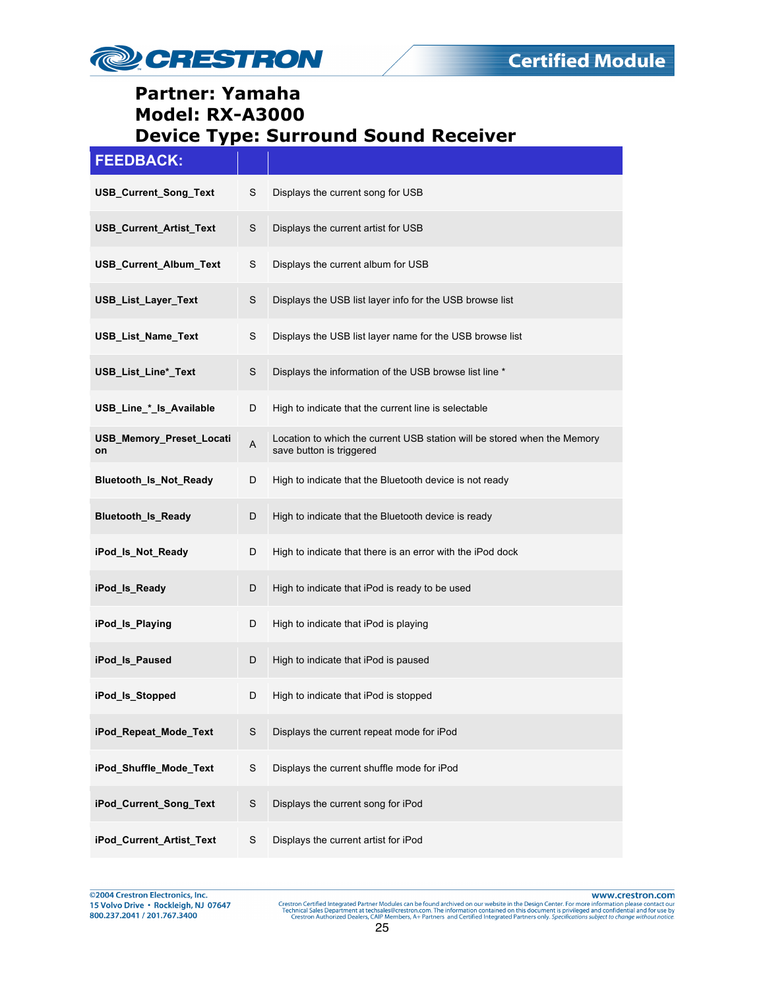

| <b>FEEDBACK:</b>               |   |                                                                                                      |
|--------------------------------|---|------------------------------------------------------------------------------------------------------|
| USB_Current_Song_Text          | S | Displays the current song for USB                                                                    |
| USB_Current_Artist_Text        | S | Displays the current artist for USB                                                                  |
| USB_Current_Album_Text         | S | Displays the current album for USB                                                                   |
| USB_List_Layer_Text            | S | Displays the USB list layer info for the USB browse list                                             |
| USB_List_Name_Text             | S | Displays the USB list layer name for the USB browse list                                             |
| USB_List_Line*_Text            | S | Displays the information of the USB browse list line *                                               |
| USB_Line_*_ls_Available        | D | High to indicate that the current line is selectable                                                 |
| USB_Memory_Preset_Locati<br>on | A | Location to which the current USB station will be stored when the Memory<br>save button is triggered |
| <b>Bluetooth Is Not Ready</b>  | D | High to indicate that the Bluetooth device is not ready                                              |
| <b>Bluetooth_Is_Ready</b>      | D | High to indicate that the Bluetooth device is ready                                                  |
| iPod_Is_Not_Ready              | D | High to indicate that there is an error with the iPod dock                                           |
| iPod_ls_Ready                  | D | High to indicate that iPod is ready to be used                                                       |
| iPod_ls_Playing                | D | High to indicate that iPod is playing                                                                |
| iPod Is Paused                 | D | High to indicate that iPod is paused                                                                 |
| iPod Is Stopped                | D | High to indicate that iPod is stopped                                                                |
| iPod_Repeat_Mode_Text          | S | Displays the current repeat mode for iPod                                                            |
| iPod_Shuffle_Mode_Text         | S | Displays the current shuffle mode for iPod                                                           |
| iPod_Current_Song_Text         | S | Displays the current song for iPod                                                                   |
| iPod_Current_Artist_Text       | S | Displays the current artist for iPod                                                                 |

@2004 Crestron Electronics, Inc.<br>15 Volvo Drive • Rockleigh, NJ 07647 800.237.2041 / 201.767.3400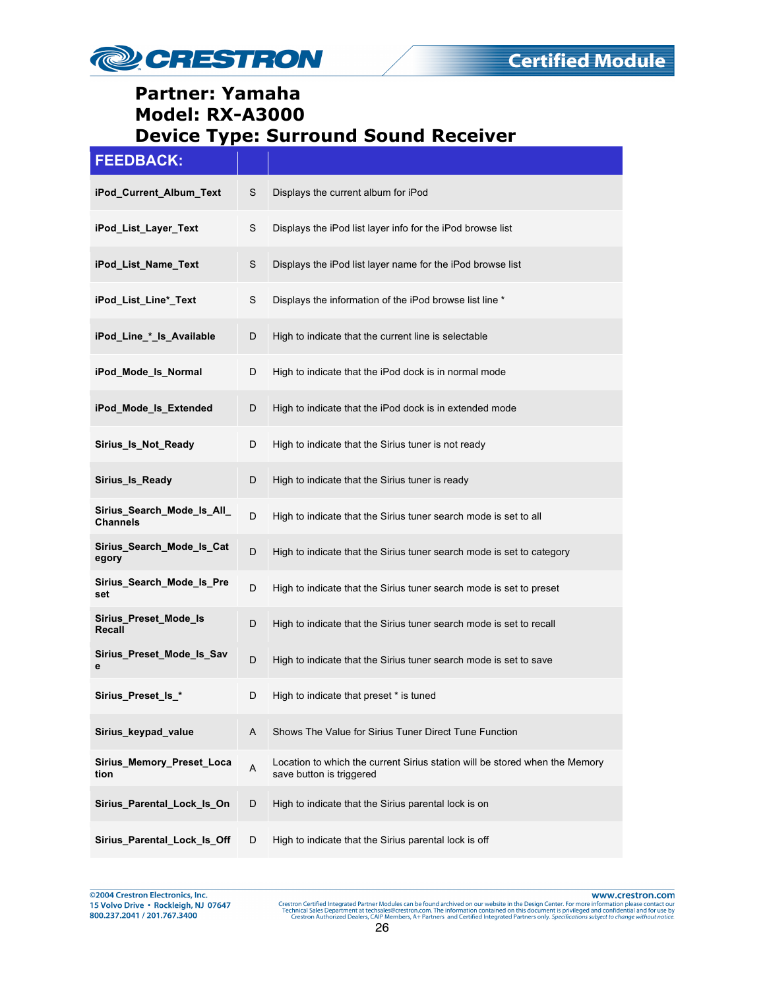

| <b>FEEDBACK:</b>                              |             |                                                                                                         |
|-----------------------------------------------|-------------|---------------------------------------------------------------------------------------------------------|
| iPod_Current_Album_Text                       | S           | Displays the current album for iPod                                                                     |
| iPod List Layer Text                          | S           | Displays the iPod list layer info for the iPod browse list                                              |
| iPod_List_Name_Text                           | S           | Displays the iPod list layer name for the iPod browse list                                              |
| iPod_List_Line*_Text                          | S           | Displays the information of the iPod browse list line *                                                 |
| iPod_Line_*_ls_Available                      | D           | High to indicate that the current line is selectable                                                    |
| iPod_Mode_Is_Normal                           | D           | High to indicate that the iPod dock is in normal mode                                                   |
| iPod Mode Is Extended                         | D           | High to indicate that the iPod dock is in extended mode                                                 |
| Sirius_Is_Not_Ready                           | D           | High to indicate that the Sirius tuner is not ready                                                     |
| Sirius Is Ready                               | D           | High to indicate that the Sirius tuner is ready                                                         |
| Sirius_Search_Mode_Is_All_<br><b>Channels</b> | D           | High to indicate that the Sirius tuner search mode is set to all                                        |
| Sirius_Search_Mode_Is_Cat<br>egory            | D           | High to indicate that the Sirius tuner search mode is set to category                                   |
| Sirius_Search_Mode_Is_Pre<br>set              | D           | High to indicate that the Sirius tuner search mode is set to preset                                     |
| Sirius_Preset_Mode_Is<br>Recall               | D           | High to indicate that the Sirius tuner search mode is set to recall                                     |
| Sirius_Preset_Mode_Is_Sav<br>е                | D           | High to indicate that the Sirius tuner search mode is set to save                                       |
| Sirius_Preset_ls_*                            | D           | High to indicate that preset * is tuned                                                                 |
| Sirius_keypad_value                           | A           | Shows The Value for Sirius Tuner Direct Tune Function                                                   |
| Sirius_Memory_Preset_Loca<br>tion             | $\mathsf A$ | Location to which the current Sirius station will be stored when the Memory<br>save button is triggered |
| Sirius_Parental_Lock_Is_On                    | D           | High to indicate that the Sirius parental lock is on                                                    |
| Sirius_Parental_Lock_ls_Off                   | D           | High to indicate that the Sirius parental lock is off                                                   |

@2004 Crestron Electronics, Inc.<br>15 Volvo Drive • Rockleigh, NJ 07647 800.237.2041 / 201.767.3400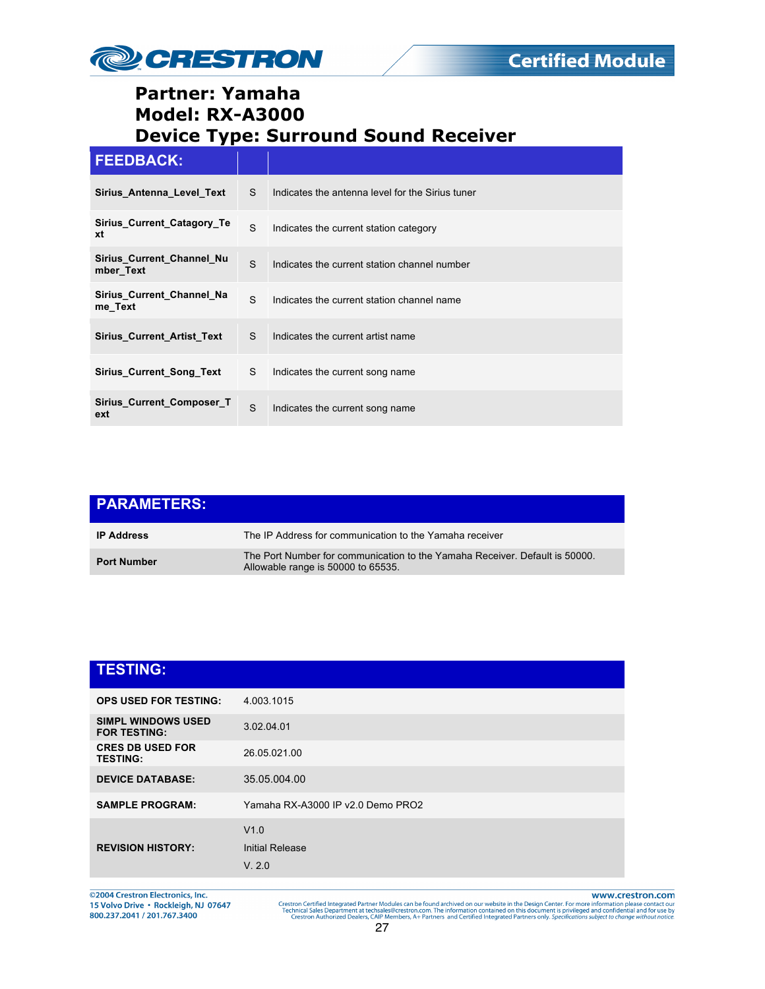

#### **FEEDBACK:**

| Sirius Antenna Level Text              | S. | Indicates the antenna level for the Sirius tuner |
|----------------------------------------|----|--------------------------------------------------|
| Sirius_Current_Catagory_Te<br>xt       | S  | Indicates the current station category           |
| Sirius Current Channel Nu<br>mber Text | S  | Indicates the current station channel number     |
| Sirius Current Channel Na<br>me_Text   | S  | Indicates the current station channel name       |
| <b>Sirius Current Artist Text</b>      | S  | Indicates the current artist name                |
| <b>Sirius Current Song Text</b>        | S. | Indicates the current song name                  |
| Sirius Current Composer T<br>ext       | S  | Indicates the current song name                  |

| <b>PARAMETERS:</b> |                                                                                                                   |
|--------------------|-------------------------------------------------------------------------------------------------------------------|
| <b>IP Address</b>  | The IP Address for communication to the Yamaha receiver                                                           |
| <b>Port Number</b> | The Port Number for communication to the Yamaha Receiver. Default is 50000.<br>Allowable range is 50000 to 65535. |

| <b>TESTING:</b>                                  |                                   |
|--------------------------------------------------|-----------------------------------|
| <b>OPS USED FOR TESTING:</b>                     | 4.003.1015                        |
| <b>SIMPL WINDOWS USED</b><br><b>FOR TESTING:</b> | 3.02.04.01                        |
| <b>CRES DB USED FOR</b><br><b>TESTING:</b>       | 26.05.021.00                      |
| <b>DEVICE DATABASE:</b>                          | 35.05.004.00                      |
| <b>SAMPLE PROGRAM:</b>                           | Yamaha RX-A3000 IP v2.0 Demo PRO2 |
|                                                  | V1.0                              |
| <b>REVISION HISTORY:</b>                         | <b>Initial Release</b>            |
|                                                  | V. 2.0                            |

©2004 Crestron Electronics, Inc.<br>15 Volvo Drive • Rockleigh, NJ 07647<br>800.237.2041 / 201.767.3400

www.crestron.com